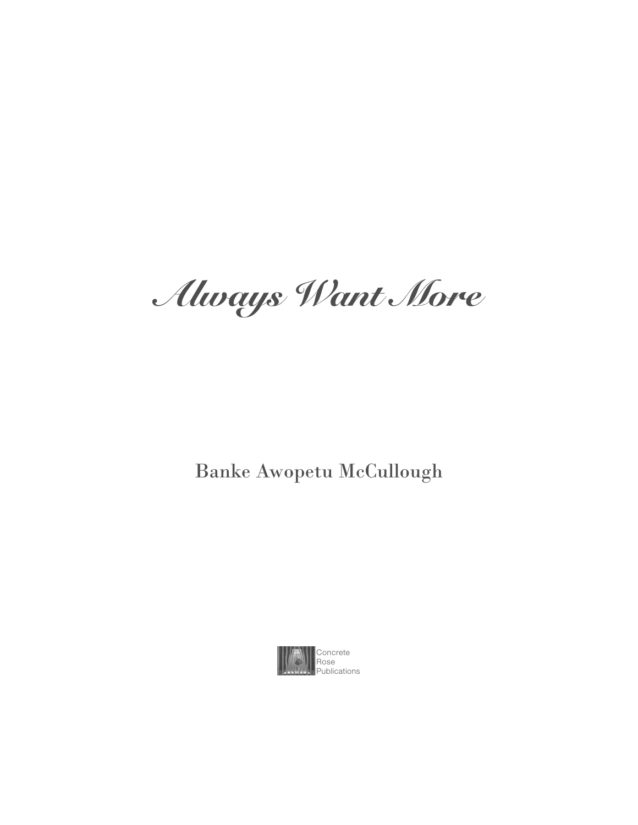*Always Want More*

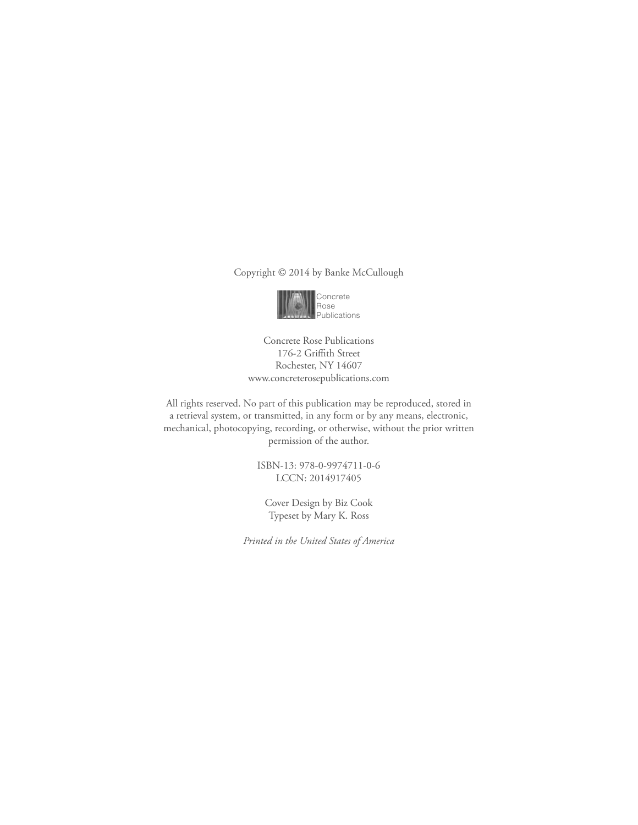Copyright © 2014 by Banke McCullough



Concrete Rose Publications 176-2 Griffith Street Rochester, NY 14607 www.concreterosepublications.com

All rights reserved. No part of this publication may be reproduced, stored in a retrieval system, or transmitted, in any form or by any means, electronic, mechanical, photocopying, recording, or otherwise, without the prior written permission of the author.

> ISBN-13: 978-0-9974711-0-6 LCCN: 2014917405

Cover Design by Biz Cook Typeset by Mary K. Ross

*Printed in the United States of America*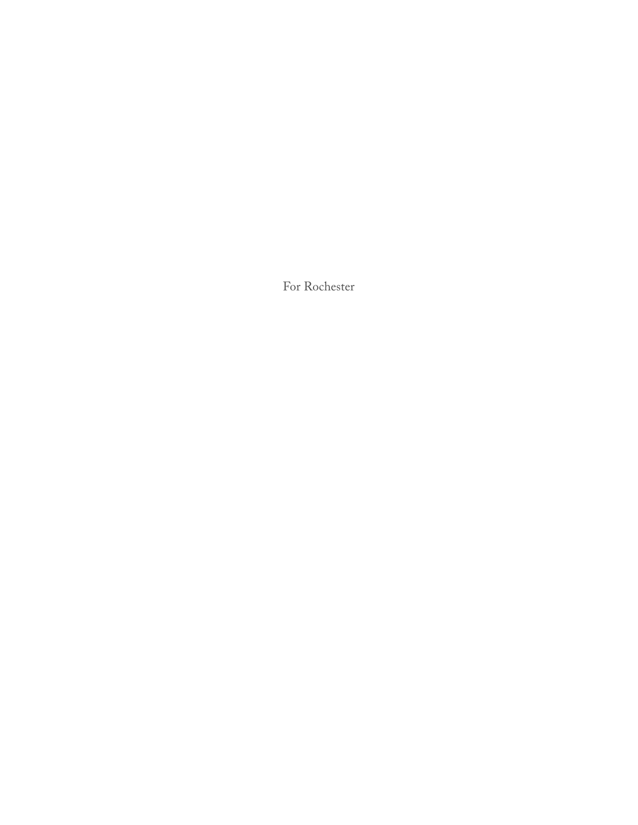For Rochester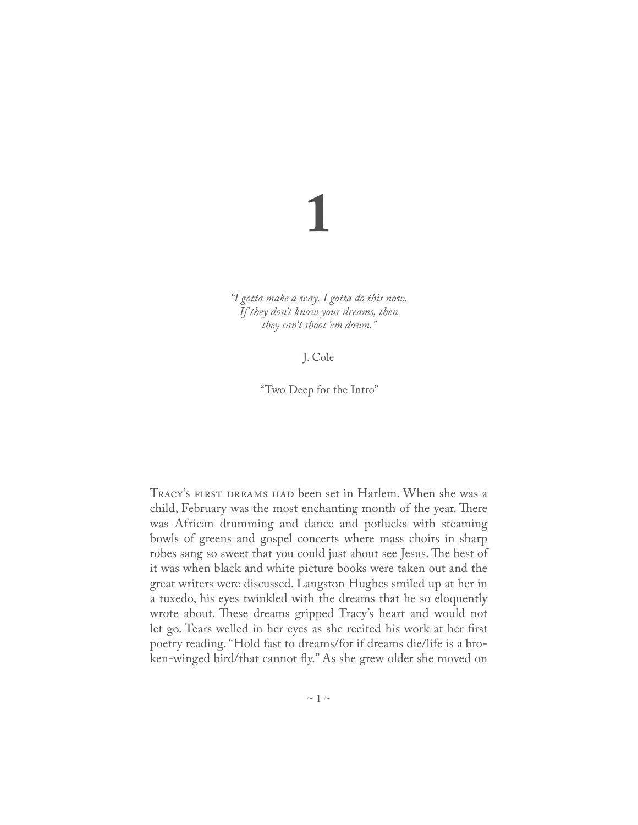*"I gotta make a way. I gotta do this now. If they don't know your dreams, then they can't shoot 'em down."*

**1**

J. Cole

"Two Deep for the Intro"

TRACY'S FIRST DREAMS HAD been set in Harlem. When she was a child, February was the most enchanting month of the year. There was African drumming and dance and potlucks with steaming bowls of greens and gospel concerts where mass choirs in sharp robes sang so sweet that you could just about see Jesus. The best of it was when black and white picture books were taken out and the great writers were discussed. Langston Hughes smiled up at her in a tuxedo, his eyes twinkled with the dreams that he so eloquently wrote about. These dreams gripped Tracy's heart and would not let go. Tears welled in her eyes as she recited his work at her first poetry reading. "Hold fast to dreams/for if dreams die/life is a broken-winged bird/that cannot fly." As she grew older she moved on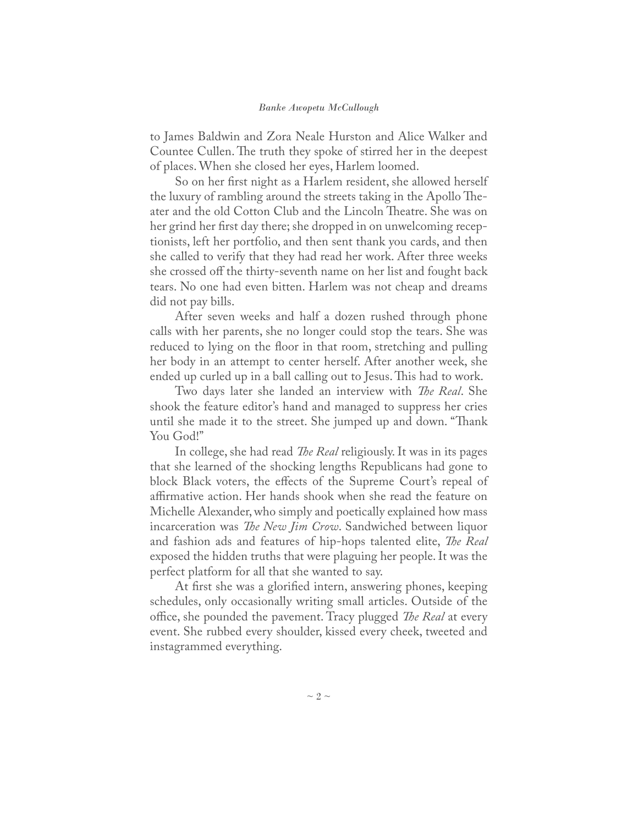to James Baldwin and Zora Neale Hurston and Alice Walker and Countee Cullen. The truth they spoke of stirred her in the deepest of places. When she closed her eyes, Harlem loomed.

So on her first night as a Harlem resident, she allowed herself the luxury of rambling around the streets taking in the Apollo Theater and the old Cotton Club and the Lincoln Theatre. She was on her grind her first day there; she dropped in on unwelcoming receptionists, left her portfolio, and then sent thank you cards, and then she called to verify that they had read her work. After three weeks she crossed off the thirty-seventh name on her list and fought back tears. No one had even bitten. Harlem was not cheap and dreams did not pay bills.

After seven weeks and half a dozen rushed through phone calls with her parents, she no longer could stop the tears. She was reduced to lying on the floor in that room, stretching and pulling her body in an attempt to center herself. After another week, she ended up curled up in a ball calling out to Jesus. This had to work.

Two days later she landed an interview with *The Real*. She shook the feature editor's hand and managed to suppress her cries until she made it to the street. She jumped up and down. "Thank You God!"

In college, she had read *The Real* religiously. It was in its pages that she learned of the shocking lengths Republicans had gone to block Black voters, the effects of the Supreme Court's repeal of affirmative action. Her hands shook when she read the feature on Michelle Alexander, who simply and poetically explained how mass incarceration was *The New Jim Crow*. Sandwiched between liquor and fashion ads and features of hip-hops talented elite, *The Real* exposed the hidden truths that were plaguing her people. It was the perfect platform for all that she wanted to say.

At first she was a glorified intern, answering phones, keeping schedules, only occasionally writing small articles. Outside of the office, she pounded the pavement. Tracy plugged *The Real* at every event. She rubbed every shoulder, kissed every cheek, tweeted and instagrammed everything.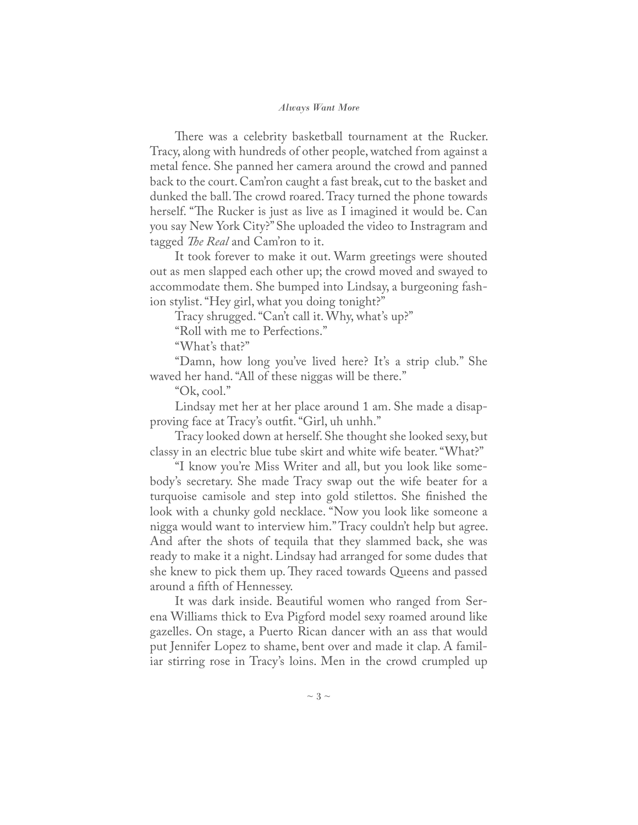There was a celebrity basketball tournament at the Rucker. Tracy, along with hundreds of other people, watched from against a metal fence. She panned her camera around the crowd and panned back to the court. Cam'ron caught a fast break, cut to the basket and dunked the ball. The crowd roared. Tracy turned the phone towards herself. "The Rucker is just as live as I imagined it would be. Can you say New York City?" She uploaded the video to Instragram and tagged *The Real* and Cam'ron to it.

It took forever to make it out. Warm greetings were shouted out as men slapped each other up; the crowd moved and swayed to accommodate them. She bumped into Lindsay, a burgeoning fashion stylist. "Hey girl, what you doing tonight?"

Tracy shrugged. "Can't call it. Why, what's up?"

"Roll with me to Perfections."

"What's that?"

"Damn, how long you've lived here? It's a strip club." She waved her hand. "All of these niggas will be there."

"Ok, cool."

Lindsay met her at her place around 1 am. She made a disapproving face at Tracy's outfit. "Girl, uh unhh."

Tracy looked down at herself. She thought she looked sexy, but classy in an electric blue tube skirt and white wife beater. "What?"

"I know you're Miss Writer and all, but you look like somebody's secretary. She made Tracy swap out the wife beater for a turquoise camisole and step into gold stilettos. She finished the look with a chunky gold necklace. "Now you look like someone a nigga would want to interview him." Tracy couldn't help but agree. And after the shots of tequila that they slammed back, she was ready to make it a night. Lindsay had arranged for some dudes that she knew to pick them up. They raced towards Queens and passed around a fifth of Hennessey.

It was dark inside. Beautiful women who ranged from Serena Williams thick to Eva Pigford model sexy roamed around like gazelles. On stage, a Puerto Rican dancer with an ass that would put Jennifer Lopez to shame, bent over and made it clap. A familiar stirring rose in Tracy's loins. Men in the crowd crumpled up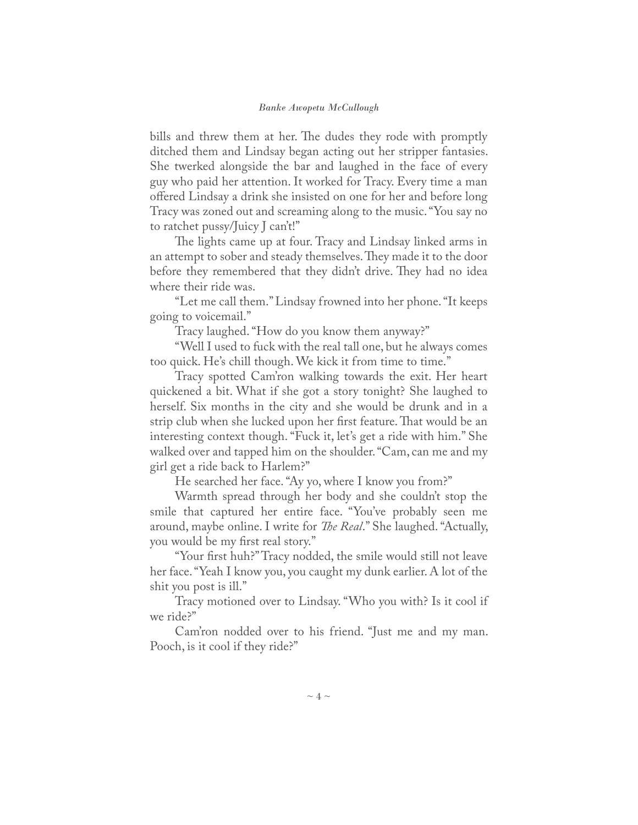bills and threw them at her. The dudes they rode with promptly ditched them and Lindsay began acting out her stripper fantasies. She twerked alongside the bar and laughed in the face of every guy who paid her attention. It worked for Tracy. Every time a man offered Lindsay a drink she insisted on one for her and before long Tracy was zoned out and screaming along to the music. "You say no to ratchet pussy/Juicy J can't!"

The lights came up at four. Tracy and Lindsay linked arms in an attempt to sober and steady themselves. They made it to the door before they remembered that they didn't drive. They had no idea where their ride was.

"Let me call them." Lindsay frowned into her phone. "It keeps" going to voicemail."

Tracy laughed. "How do you know them anyway?"

"Well I used to fuck with the real tall one, but he always comes too quick. He's chill though. We kick it from time to time."

Tracy spotted Cam'ron walking towards the exit. Her heart quickened a bit. What if she got a story tonight? She laughed to herself. Six months in the city and she would be drunk and in a strip club when she lucked upon her first feature. That would be an interesting context though. "Fuck it, let's get a ride with him." She walked over and tapped him on the shoulder. "Cam, can me and my girl get a ride back to Harlem?"

He searched her face. "Ay yo, where I know you from?"

Warmth spread through her body and she couldn't stop the smile that captured her entire face. "You've probably seen me around, maybe online. I write for *The Real*." She laughed. "Actually, you would be my first real story."

"Your first huh?" Tracy nodded, the smile would still not leave her face. "Yeah I know you, you caught my dunk earlier. A lot of the shit you post is ill."

Tracy motioned over to Lindsay. "Who you with? Is it cool if we ride?"

Cam'ron nodded over to his friend. "Just me and my man. Pooch, is it cool if they ride?"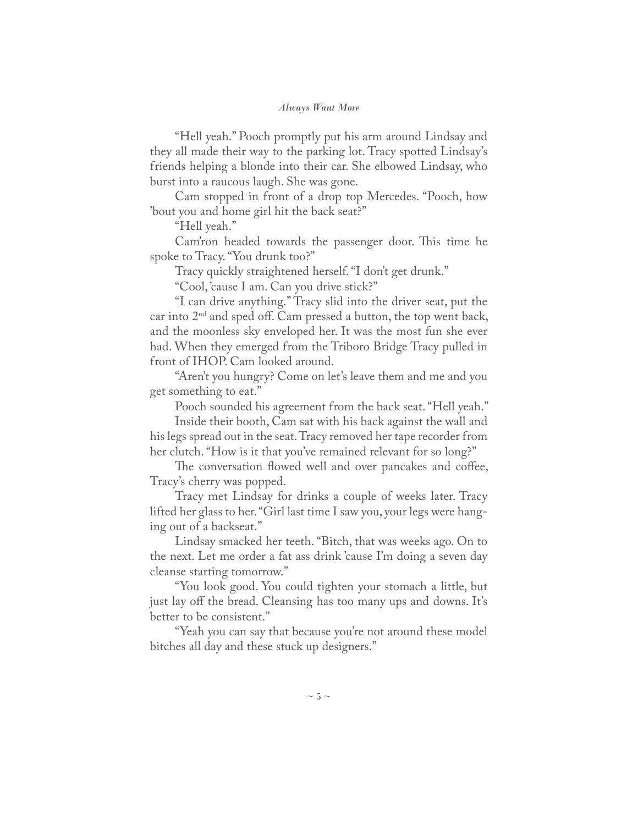"Hell yeah." Pooch promptly put his arm around Lindsay and they all made their way to the parking lot. Tracy spotted Lindsay's friends helping a blonde into their car. She elbowed Lindsay, who burst into a raucous laugh. She was gone.

Cam stopped in front of a drop top Mercedes. "Pooch, how "bout you and home girl hit the back seat?"

"Hell yeah."

Cam'ron headed towards the passenger door. This time he spoke to Tracy. "You drunk too?"

Tracy quickly straightened herself. "I don't get drunk."

"Cool, cause I am. Can you drive stick?"

"I can drive anything." Tracy slid into the driver seat, put the car into  $2<sup>nd</sup>$  and sped off. Cam pressed a button, the top went back, and the moonless sky enveloped her. It was the most fun she ever had. When they emerged from the Triboro Bridge Tracy pulled in front of IHOP. Cam looked around.

"Aren't you hungry? Come on let's leave them and me and you get something to eat."

Pooch sounded his agreement from the back seat. "Hell yeah."

Inside their booth, Cam sat with his back against the wall and his legs spread out in the seat. Tracy removed her tape recorder from her clutch. "How is it that you've remained relevant for so long?"

The conversation flowed well and over pancakes and coffee, Tracy's cherry was popped.

Tracy met Lindsay for drinks a couple of weeks later. Tracy lifted her glass to her. "Girl last time I saw you, your legs were hanging out of a backseat."

Lindsay smacked her teeth. "Bitch, that was weeks ago. On to the next. Let me order a fat ass drink 'cause I'm doing a seven day cleanse starting tomorrow."

"You look good. You could tighten your stomach a little, but just lay off the bread. Cleansing has too many ups and downs. It's better to be consistent."

"Yeah you can say that because you're not around these model bitches all day and these stuck up designers."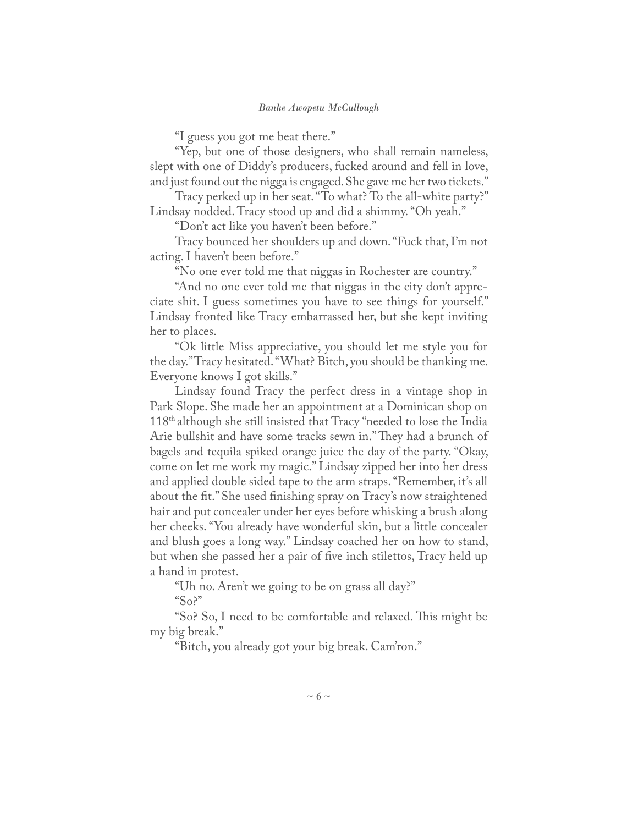"I guess you got me beat there."

"Yep, but one of those designers, who shall remain nameless, slept with one of Diddy's producers, fucked around and fell in love, and just found out the nigga is engaged. She gave me her two tickets."

Tracy perked up in her seat. "To what? To the all-white party?" Lindsay nodded. Tracy stood up and did a shimmy. "Oh yeah."

"Don't act like you haven't been before."

Tracy bounced her shoulders up and down. "Fuck that, I'm not acting. I haven't been before."

"No one ever told me that niggas in Rochester are country."

"And no one ever told me that niggas in the city don't appreciate shit. I guess sometimes you have to see things for yourself." Lindsay fronted like Tracy embarrassed her, but she kept inviting her to places.

"Ok little Miss appreciative, you should let me style you for the day." Tracy hesitated. "What? Bitch, you should be thanking me. Everyone knows I got skills."

Lindsay found Tracy the perfect dress in a vintage shop in Park Slope. She made her an appointment at a Dominican shop on 118th although she still insisted that Tracy "needed to lose the India Arie bullshit and have some tracks sewn in." They had a brunch of bagels and tequila spiked orange juice the day of the party. "Okay, come on let me work my magic." Lindsay zipped her into her dress and applied double sided tape to the arm straps. "Remember, it's all about the fit." She used finishing spray on Tracy's now straightened hair and put concealer under her eyes before whisking a brush along her cheeks. "You already have wonderful skin, but a little concealer and blush goes a long way." Lindsay coached her on how to stand, but when she passed her a pair of five inch stilettos, Tracy held up a hand in protest.

"Uh no. Aren't we going to be on grass all day?" " $\text{So?}$ "

"So? So, I need to be comfortable and relaxed. This might be my big break."

"Bitch, you already got your big break. Cam'ron."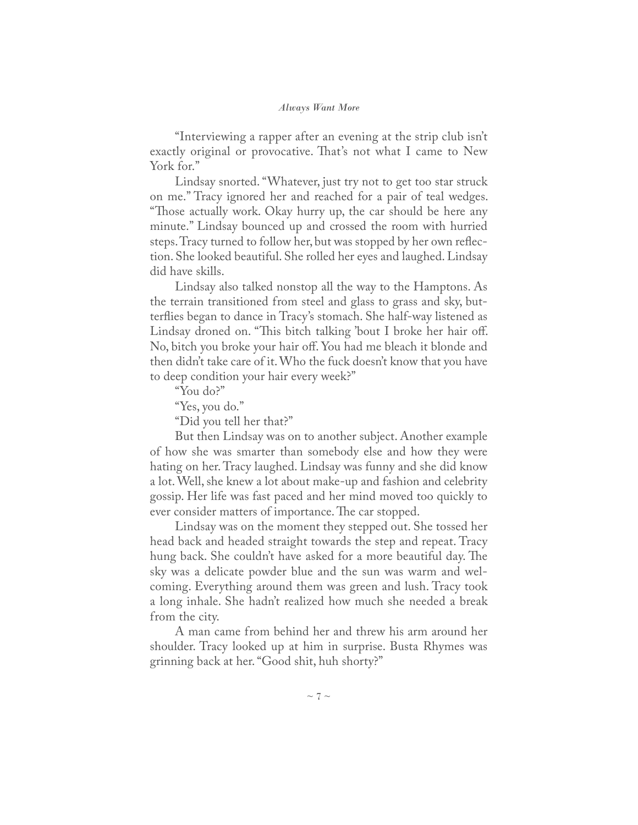"Interviewing a rapper after an evening at the strip club isn't exactly original or provocative. That's not what I came to New York for."

Lindsay snorted. "Whatever, just try not to get too star struck on me." Tracy ignored her and reached for a pair of teal wedges. "Those actually work. Okay hurry up, the car should be here any minute." Lindsay bounced up and crossed the room with hurried steps. Tracy turned to follow her, but was stopped by her own reflection. She looked beautiful. She rolled her eyes and laughed. Lindsay did have skills.

Lindsay also talked nonstop all the way to the Hamptons. As the terrain transitioned from steel and glass to grass and sky, butterflies began to dance in Tracy's stomach. She half-way listened as Lindsay droned on. "This bitch talking 'bout I broke her hair off. No, bitch you broke your hair off. You had me bleach it blonde and then didn't take care of it. Who the fuck doesn't know that you have to deep condition your hair every week?"

"You do?"

"Yes, you do."

"Did you tell her that?"

But then Lindsay was on to another subject. Another example of how she was smarter than somebody else and how they were hating on her. Tracy laughed. Lindsay was funny and she did know a lot. Well, she knew a lot about make-up and fashion and celebrity gossip. Her life was fast paced and her mind moved too quickly to ever consider matters of importance. The car stopped.

Lindsay was on the moment they stepped out. She tossed her head back and headed straight towards the step and repeat. Tracy hung back. She couldn't have asked for a more beautiful day. The sky was a delicate powder blue and the sun was warm and welcoming. Everything around them was green and lush. Tracy took a long inhale. She hadn't realized how much she needed a break from the city.

A man came from behind her and threw his arm around her shoulder. Tracy looked up at him in surprise. Busta Rhymes was grinning back at her. "Good shit, huh shorty?"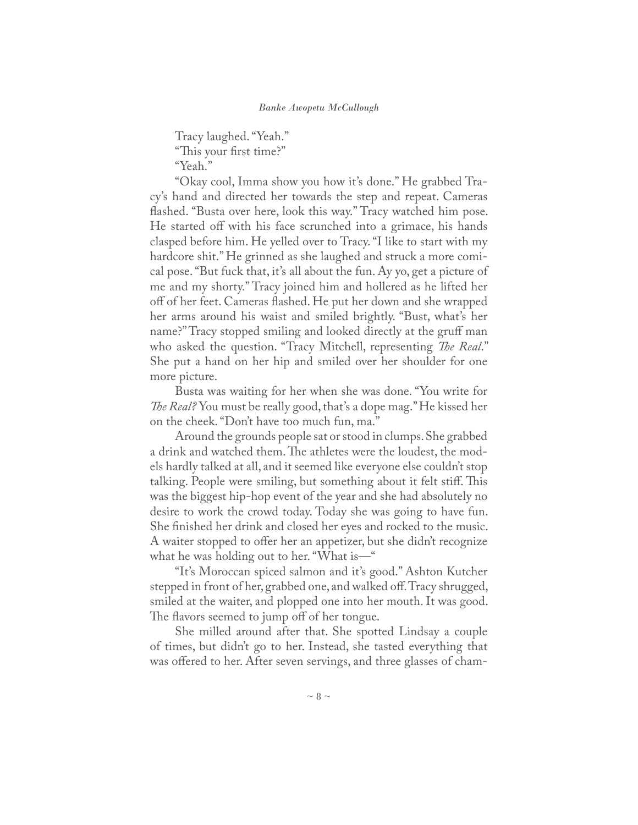Tracy laughed. "Yeah." "This your first time?" "Yeah."

"Okay cool, Imma show you how it's done." He grabbed Tracy's hand and directed her towards the step and repeat. Cameras flashed. "Busta over here, look this way." Tracy watched him pose. He started off with his face scrunched into a grimace, his hands clasped before him. He yelled over to Tracy. "I like to start with my hardcore shit." He grinned as she laughed and struck a more comical pose. "But fuck that, it's all about the fun. Ay yo, get a picture of me and my shorty." Tracy joined him and hollered as he lifted her off of her feet. Cameras flashed. He put her down and she wrapped her arms around his waist and smiled brightly. "Bust, what's her name?" Tracy stopped smiling and looked directly at the gruff man who asked the question. "Tracy Mitchell, representing The Real." She put a hand on her hip and smiled over her shoulder for one more picture.

Busta was waiting for her when she was done. "You write for The Real? You must be really good, that's a dope mag." He kissed her on the cheek. "Don't have too much fun, ma."

Around the grounds people sat or stood in clumps. She grabbed a drink and watched them. The athletes were the loudest, the models hardly talked at all, and it seemed like everyone else couldn't stop talking. People were smiling, but something about it felt stiff. This was the biggest hip-hop event of the year and she had absolutely no desire to work the crowd today. Today she was going to have fun. She finished her drink and closed her eyes and rocked to the music. A waiter stopped to offer her an appetizer, but she didn't recognize what he was holding out to her. "What is—"

"It's Moroccan spiced salmon and it's good." Ashton Kutcher stepped in front of her, grabbed one, and walked off. Tracy shrugged, smiled at the waiter, and plopped one into her mouth. It was good. The flavors seemed to jump off of her tongue.

She milled around after that. She spotted Lindsay a couple of times, but didn't go to her. Instead, she tasted everything that was offered to her. After seven servings, and three glasses of cham-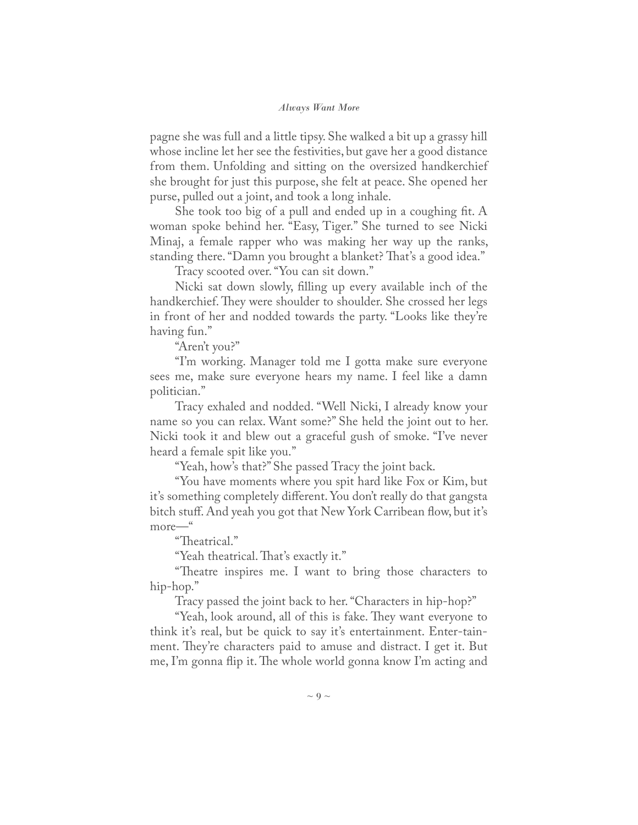pagne she was full and a little tipsy. She walked a bit up a grassy hill whose incline let her see the festivities, but gave her a good distance from them. Unfolding and sitting on the oversized handkerchief she brought for just this purpose, she felt at peace. She opened her purse, pulled out a joint, and took a long inhale.

She took too big of a pull and ended up in a coughing fit. A woman spoke behind her. "Easy, Tiger." She turned to see Nicki Minaj, a female rapper who was making her way up the ranks, standing there. "Damn you brought a blanket? That's a good idea."

Tracy scooted over. "You can sit down."

Nicki sat down slowly, filling up every available inch of the handkerchief. They were shoulder to shoulder. She crossed her legs in front of her and nodded towards the party. "Looks like they're having fun."

"Aren't you?"

"I'm working. Manager told me I gotta make sure everyone" sees me, make sure everyone hears my name. I feel like a damn politician."

Tracy exhaled and nodded. "Well Nicki, I already know your name so you can relax. Want some?" She held the joint out to her. Nicki took it and blew out a graceful gush of smoke. "I've never heard a female spit like you."

"Yeah, how's that?" She passed Tracy the joint back.

"You have moments where you spit hard like Fox or Kim, but it's something completely different. You don't really do that gangsta bitch stuff. And yeah you got that New York Carribean flow, but it's more—"

"Theatrical."

"Yeah theatrical. That's exactly it."

"Theatre inspires me. I want to bring those characters to hip-hop."

Tracy passed the joint back to her. "Characters in hip-hop?"

"Yeah, look around, all of this is fake. They want everyone to think it's real, but be quick to say it's entertainment. Enter-tainment. They're characters paid to amuse and distract. I get it. But me, I'm gonna flip it. The whole world gonna know I'm acting and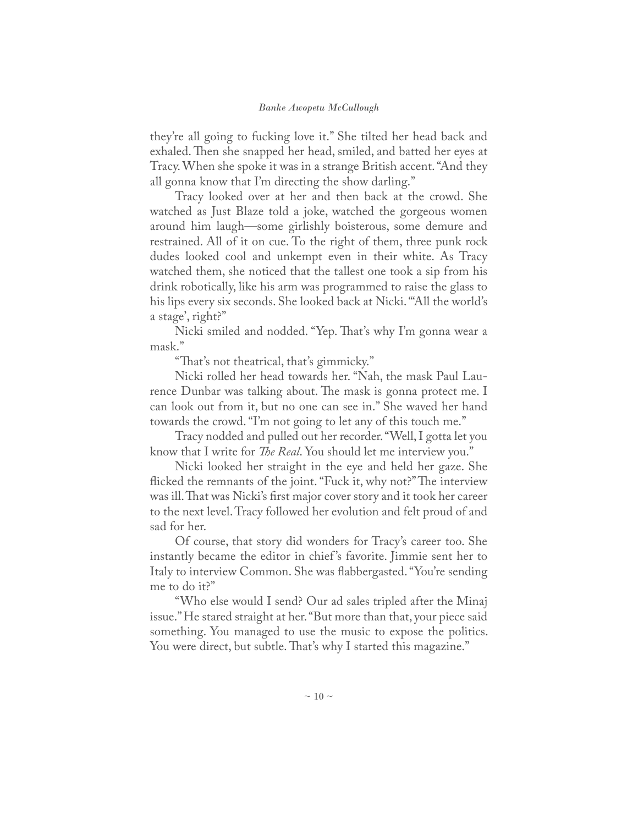they're all going to fucking love it." She tilted her head back and exhaled. Then she snapped her head, smiled, and batted her eyes at Tracy. When she spoke it was in a strange British accent. "And they all gonna know that I'm directing the show darling."

Tracy looked over at her and then back at the crowd. She watched as Just Blaze told a joke, watched the gorgeous women around him laugh—some girlishly boisterous, some demure and restrained. All of it on cue. To the right of them, three punk rock dudes looked cool and unkempt even in their white. As Tracy watched them, she noticed that the tallest one took a sip from his drink robotically, like his arm was programmed to raise the glass to his lips every six seconds. She looked back at Nicki. "All the world's a stage', right?"

Nicki smiled and nodded. "Yep. That's why I'm gonna wear a mask."

"That's not theatrical, that's gimmicky."

Nicki rolled her head towards her. "Nah, the mask Paul Laurence Dunbar was talking about. The mask is gonna protect me. I can look out from it, but no one can see in." She waved her hand towards the crowd. "I'm not going to let any of this touch me."

Tracy nodded and pulled out her recorder. "Well, I gotta let you know that I write for *The Real*. You should let me interview you."

Nicki looked her straight in the eye and held her gaze. She flicked the remnants of the joint. "Fuck it, why not?" The interview was ill. That was Nicki's first major cover story and it took her career to the next level. Tracy followed her evolution and felt proud of and sad for her.

Of course, that story did wonders for Tracy's career too. She instantly became the editor in chief's favorite. Jimmie sent her to Italy to interview Common. She was flabbergasted. "You're sending me to do it?"

"Who else would I send? Our ad sales tripled after the Minaj issue." He stared straight at her. "But more than that, your piece said something. You managed to use the music to expose the politics. You were direct, but subtle. That's why I started this magazine."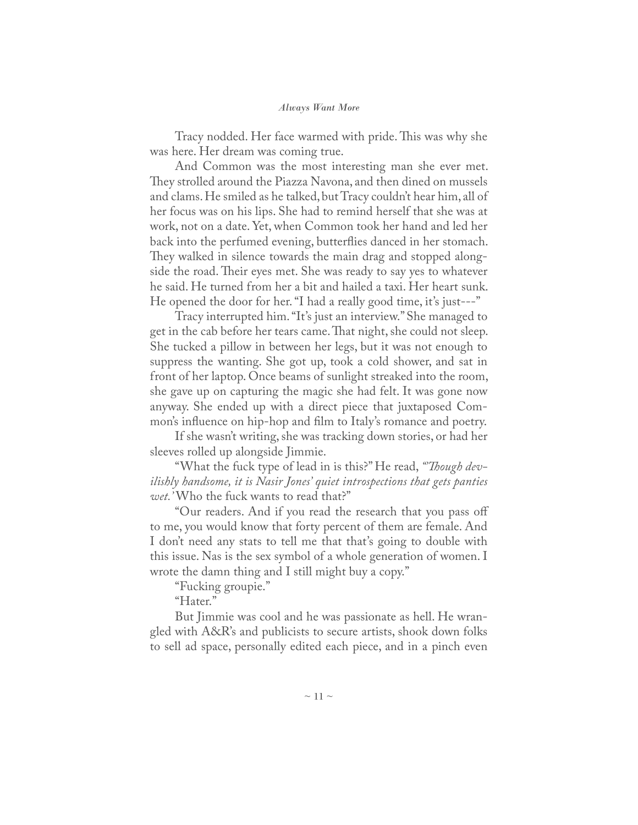Tracy nodded. Her face warmed with pride. This was why she was here. Her dream was coming true.

And Common was the most interesting man she ever met. They strolled around the Piazza Navona, and then dined on mussels and clams. He smiled as he talked, but Tracy couldn't hear him, all of her focus was on his lips. She had to remind herself that she was at work, not on a date. Yet, when Common took her hand and led her back into the perfumed evening, butterflies danced in her stomach. They walked in silence towards the main drag and stopped alongside the road. Their eyes met. She was ready to say yes to whatever he said. He turned from her a bit and hailed a taxi. Her heart sunk. He opened the door for her. "I had a really good time, it's just---"

Tracy interrupted him. "It's just an interview." She managed to get in the cab before her tears came. That night, she could not sleep. She tucked a pillow in between her legs, but it was not enough to suppress the wanting. She got up, took a cold shower, and sat in front of her laptop. Once beams of sunlight streaked into the room, she gave up on capturing the magic she had felt. It was gone now anyway. She ended up with a direct piece that juxtaposed Common's influence on hip-hop and film to Italy's romance and poetry.

If she wasn't writing, she was tracking down stories, or had her sleeves rolled up alongside Jimmie.

"What the fuck type of lead in is this?" He read, "*Though devilishly handsome, it is Nasir Jones' quiet introspections that gets panties wet.'* Who the fuck wants to read that?"

"Our readers. And if you read the research that you pass off to me, you would know that forty percent of them are female. And I don't need any stats to tell me that that's going to double with this issue. Nas is the sex symbol of a whole generation of women. I wrote the damn thing and I still might buy a copy."

"Fucking groupie."

"Hater."

But Jimmie was cool and he was passionate as hell. He wrangled with A&R's and publicists to secure artists, shook down folks to sell ad space, personally edited each piece, and in a pinch even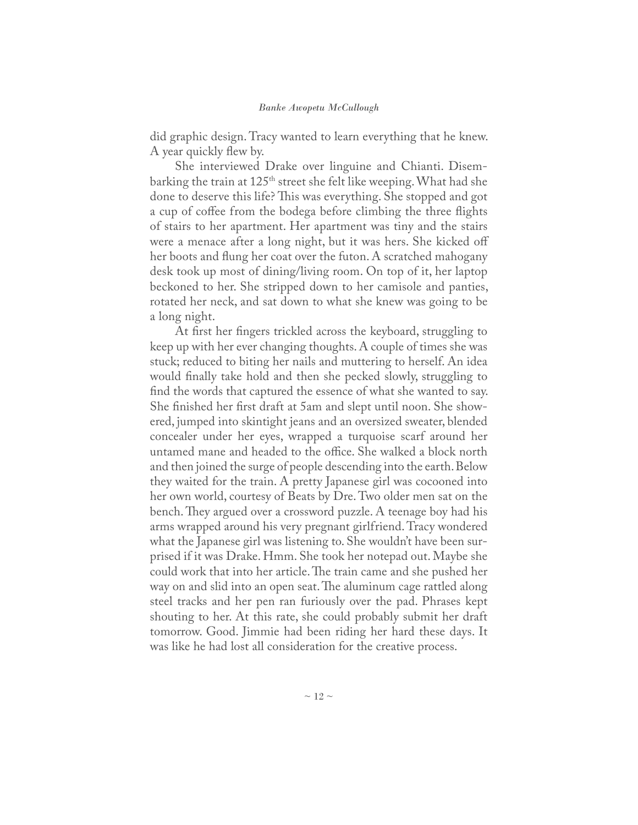did graphic design. Tracy wanted to learn everything that he knew. A year quickly flew by.

She interviewed Drake over linguine and Chianti. Disembarking the train at 125<sup>th</sup> street she felt like weeping. What had she done to deserve this life? This was everything. She stopped and got a cup of coffee from the bodega before climbing the three flights of stairs to her apartment. Her apartment was tiny and the stairs were a menace after a long night, but it was hers. She kicked off her boots and flung her coat over the futon. A scratched mahogany desk took up most of dining/living room. On top of it, her laptop beckoned to her. She stripped down to her camisole and panties, rotated her neck, and sat down to what she knew was going to be a long night.

At first her fingers trickled across the keyboard, struggling to keep up with her ever changing thoughts. A couple of times she was stuck; reduced to biting her nails and muttering to herself. An idea would finally take hold and then she pecked slowly, struggling to find the words that captured the essence of what she wanted to say. She finished her first draft at 5am and slept until noon. She showered, jumped into skintight jeans and an oversized sweater, blended concealer under her eyes, wrapped a turquoise scarf around her untamed mane and headed to the office. She walked a block north and then joined the surge of people descending into the earth. Below they waited for the train. A pretty Japanese girl was cocooned into her own world, courtesy of Beats by Dre. Two older men sat on the bench. They argued over a crossword puzzle. A teenage boy had his arms wrapped around his very pregnant girlfriend. Tracy wondered what the Japanese girl was listening to. She wouldn't have been surprised if it was Drake. Hmm. She took her notepad out. Maybe she could work that into her article. The train came and she pushed her way on and slid into an open seat. The aluminum cage rattled along steel tracks and her pen ran furiously over the pad. Phrases kept shouting to her. At this rate, she could probably submit her draft tomorrow. Good. Jimmie had been riding her hard these days. It was like he had lost all consideration for the creative process.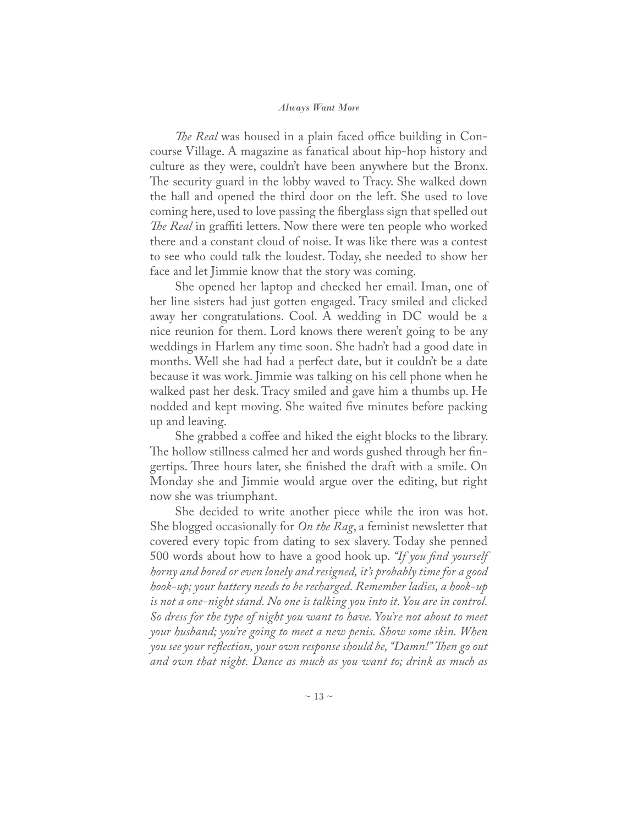*The Real* was housed in a plain faced office building in Concourse Village. A magazine as fanatical about hip-hop history and culture as they were, couldn't have been anywhere but the Bronx. The security guard in the lobby waved to Tracy. She walked down the hall and opened the third door on the left. She used to love coming here, used to love passing the fiberglass sign that spelled out *The Real* in graffiti letters. Now there were ten people who worked there and a constant cloud of noise. It was like there was a contest to see who could talk the loudest. Today, she needed to show her face and let Jimmie know that the story was coming.

She opened her laptop and checked her email. Iman, one of her line sisters had just gotten engaged. Tracy smiled and clicked away her congratulations. Cool. A wedding in DC would be a nice reunion for them. Lord knows there weren't going to be any weddings in Harlem any time soon. She hadn't had a good date in months. Well she had had a perfect date, but it couldn't be a date because it was work. Jimmie was talking on his cell phone when he walked past her desk. Tracy smiled and gave him a thumbs up. He nodded and kept moving. She waited five minutes before packing up and leaving.

She grabbed a coffee and hiked the eight blocks to the library. The hollow stillness calmed her and words gushed through her fingertips. Three hours later, she finished the draft with a smile. On Monday she and Jimmie would argue over the editing, but right now she was triumphant.

She decided to write another piece while the iron was hot. She blogged occasionally for *On the Rag*, a feminist newsletter that covered every topic from dating to sex slavery. Today she penned 500 words about how to have a good hook up. "If you find yourself horny and bored or even lonely and resigned, it's probably time for a good *hook-up*; your battery needs to be recharged. Remember ladies, a hook-up is not a one-night stand. No one is talking you into it. You are in control. So dress for the type of night you want to have. You're not about to meet *your husband; you're going to meet a new penis. Show some skin. When* you see your reflection, your own response should be, "Damn!" Then go out and own that night. Dance as much as you want to; drink as much as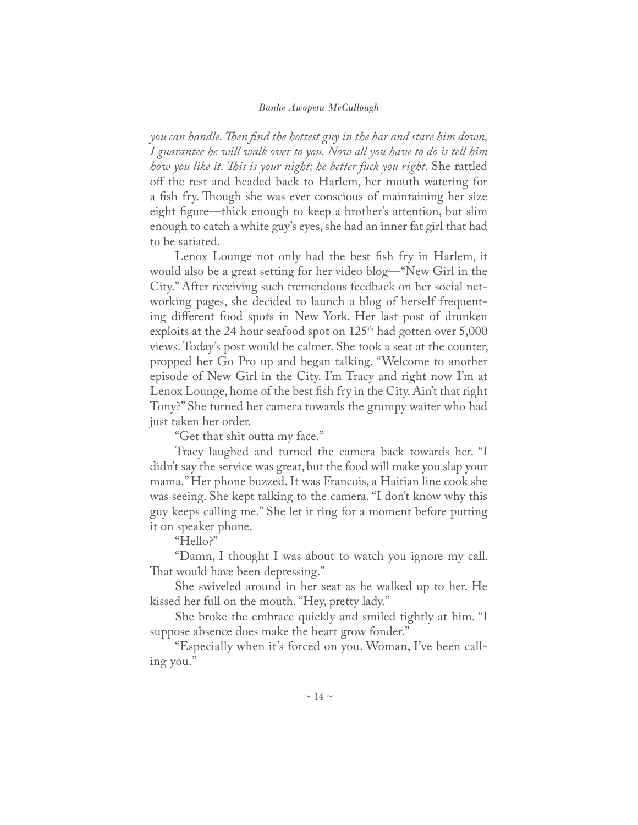you can handle. Then find the hottest guy in the bar and stare him down, I guarantee he will walk over to you. Now all you have to do is tell him how you like it. This is your night; he better fuck you right. She rattled off the rest and headed back to Harlem, her mouth watering for a fish fry. Though she was ever conscious of maintaining her size eight figure—thick enough to keep a brother's attention, but slim enough to catch a white guy's eyes, she had an inner fat girl that had to be satiated.

Lenox Lounge not only had the best fish fry in Harlem, it would also be a great setting for her video blog—"New Girl in the City." After receiving such tremendous feedback on her social networking pages, she decided to launch a blog of herself frequenting different food spots in New York. Her last post of drunken exploits at the 24 hour seafood spot on  $125<sup>th</sup>$  had gotten over 5,000 views. Today's post would be calmer. She took a seat at the counter, propped her Go Pro up and began talking. "Welcome to another episode of New Girl in the City. I'm Tracy and right now I'm at Lenox Lounge, home of the best fish fry in the City. Ain't that right Tony?" She turned her camera towards the grumpy waiter who had just taken her order.

"Get that shit outta my face."

Tracy laughed and turned the camera back towards her. "I didn't say the service was great, but the food will make you slap your mama." Her phone buzzed. It was Francois, a Haitian line cook she was seeing. She kept talking to the camera. "I don't know why this guy keeps calling me." She let it ring for a moment before putting it on speaker phone.

"Hello?"

"Damn, I thought I was about to watch you ignore my call. That would have been depressing."

She swiveled around in her seat as he walked up to her. He kissed her full on the mouth. "Hey, pretty lady."

She broke the embrace quickly and smiled tightly at him. "I suppose absence does make the heart grow fonder."

"Especially when it's forced on you. Woman, I've been calling you."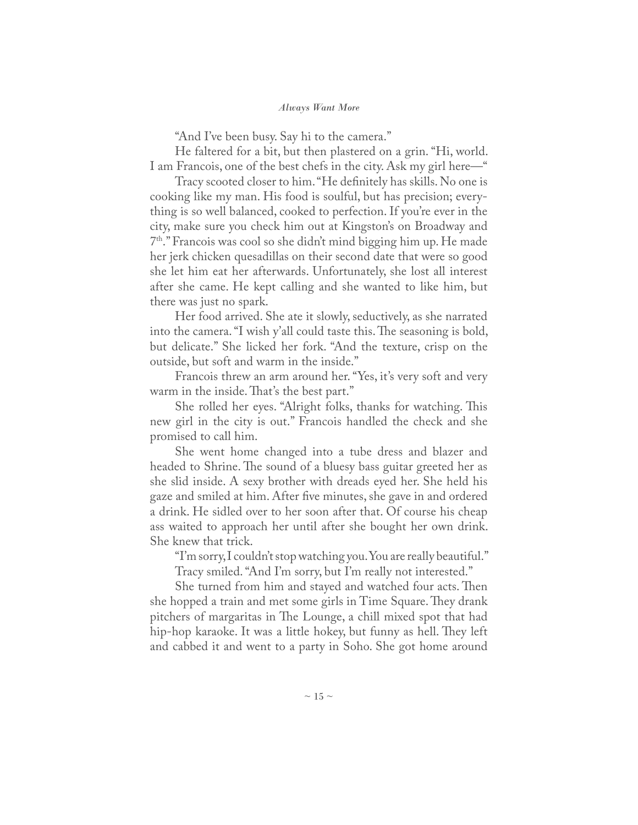"And I've been busy. Say hi to the camera."

He faltered for a bit, but then plastered on a grin. "Hi, world. I am Francois, one of the best chefs in the city. Ask my girl here—"

Tracy scooted closer to him. "He definitely has skills. No one is cooking like my man. His food is soulful, but has precision; everything is so well balanced, cooked to perfection. If you're ever in the city, make sure you check him out at Kingston's on Broadway and 7<sup>th</sup>." Francois was cool so she didn't mind bigging him up. He made her jerk chicken quesadillas on their second date that were so good she let him eat her afterwards. Unfortunately, she lost all interest after she came. He kept calling and she wanted to like him, but there was just no spark.

Her food arrived. She ate it slowly, seductively, as she narrated into the camera. "I wish y'all could taste this. The seasoning is bold, but delicate." She licked her fork. "And the texture, crisp on the outside, but soft and warm in the inside."

Francois threw an arm around her. "Yes, it's very soft and very warm in the inside. That's the best part."

She rolled her eyes. "Alright folks, thanks for watching. This new girl in the city is out." Francois handled the check and she promised to call him.

She went home changed into a tube dress and blazer and headed to Shrine. The sound of a bluesy bass guitar greeted her as she slid inside. A sexy brother with dreads eyed her. She held his gaze and smiled at him. After five minutes, she gave in and ordered a drink. He sidled over to her soon after that. Of course his cheap ass waited to approach her until after she bought her own drink. She knew that trick.

"I'm sorry, I couldn't stop watching you. You are really beautiful." Tracy smiled. "And I'm sorry, but I'm really not interested."

She turned from him and stayed and watched four acts. Then she hopped a train and met some girls in Time Square. They drank pitchers of margaritas in The Lounge, a chill mixed spot that had hip-hop karaoke. It was a little hokey, but funny as hell. They left and cabbed it and went to a party in Soho. She got home around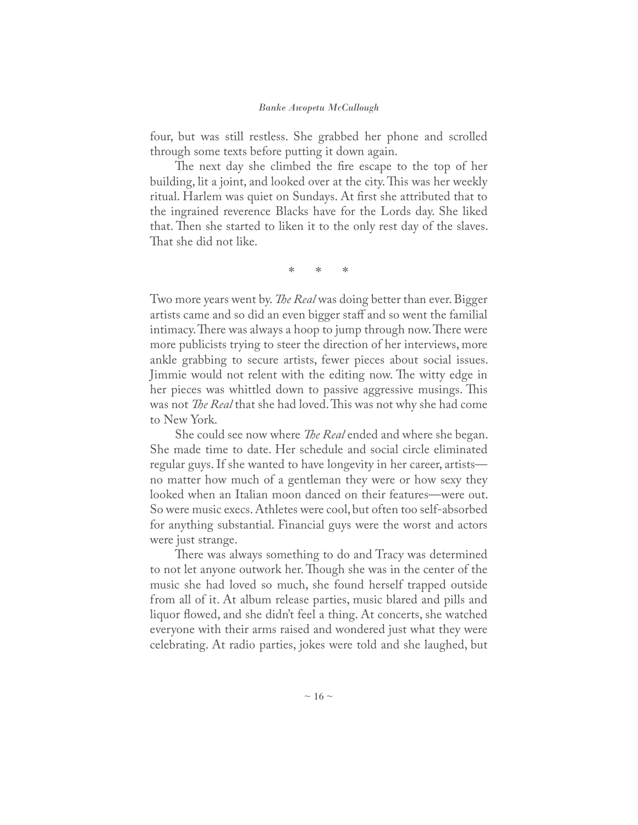four, but was still restless. She grabbed her phone and scrolled through some texts before putting it down again.

The next day she climbed the fire escape to the top of her building, lit a joint, and looked over at the city. This was her weekly ritual. Harlem was quiet on Sundays. At first she attributed that to the ingrained reverence Blacks have for the Lords day. She liked that. Then she started to liken it to the only rest day of the slaves. That she did not like.

\*<br>\*<br>\*

Two more years went by. *The Real* was doing better than ever. Bigger artists came and so did an even bigger staff and so went the familial intimacy. There was always a hoop to jump through now. There were more publicists trying to steer the direction of her interviews, more ankle grabbing to secure artists, fewer pieces about social issues. Jimmie would not relent with the editing now. The witty edge in her pieces was whittled down to passive aggressive musings. This was not *The Real* that she had loved. This was not why she had come to New York.

She could see now where *The Real* ended and where she began. She made time to date. Her schedule and social circle eliminated regular guys. If she wanted to have longevity in her career, artists no matter how much of a gentleman they were or how sexy they looked when an Italian moon danced on their features—were out. So were music execs. Athletes were cool, but often too self-absorbed for anything substantial. Financial guys were the worst and actors were just strange.

There was always something to do and Tracy was determined to not let anyone outwork her. Though she was in the center of the music she had loved so much, she found herself trapped outside from all of it. At album release parties, music blared and pills and liquor flowed, and she didn't feel a thing. At concerts, she watched everyone with their arms raised and wondered just what they were celebrating. At radio parties, jokes were told and she laughed, but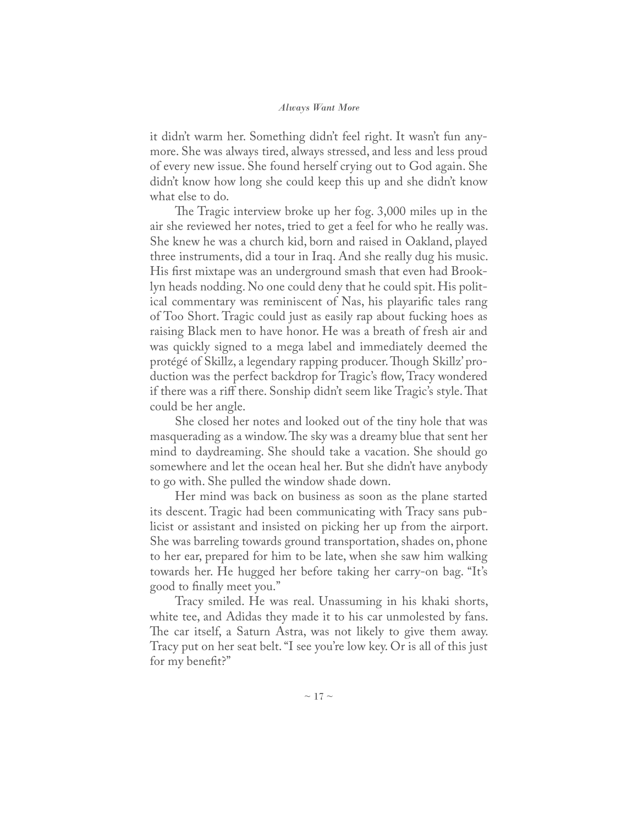it didn't warm her. Something didn't feel right. It wasn't fun anymore. She was always tired, always stressed, and less and less proud of every new issue. She found herself crying out to God again. She didn't know how long she could keep this up and she didn't know what else to do.

The Tragic interview broke up her fog. 3,000 miles up in the air she reviewed her notes, tried to get a feel for who he really was. She knew he was a church kid, born and raised in Oakland, played three instruments, did a tour in Iraq. And she really dug his music. His first mixtape was an underground smash that even had Brooklyn heads nodding. No one could deny that he could spit. His political commentary was reminiscent of Nas, his playarific tales rang of Too Short. Tragic could just as easily rap about fucking hoes as raising Black men to have honor. He was a breath of fresh air and was quickly signed to a mega label and immediately deemed the protégé of Skillz, a legendary rapping producer. Though Skillz' production was the perfect backdrop for Tragic's flow, Tracy wondered if there was a riff there. Sonship didn't seem like Tragic's style. That could be her angle.

She closed her notes and looked out of the tiny hole that was masquerading as a window. The sky was a dreamy blue that sent her mind to daydreaming. She should take a vacation. She should go somewhere and let the ocean heal her. But she didn't have anybody to go with. She pulled the window shade down.

Her mind was back on business as soon as the plane started its descent. Tragic had been communicating with Tracy sans publicist or assistant and insisted on picking her up from the airport. She was barreling towards ground transportation, shades on, phone to her ear, prepared for him to be late, when she saw him walking towards her. He hugged her before taking her carry-on bag. "It's good to finally meet you."

Tracy smiled. He was real. Unassuming in his khaki shorts, white tee, and Adidas they made it to his car unmolested by fans. The car itself, a Saturn Astra, was not likely to give them away. Tracy put on her seat belt. "I see you're low key. Or is all of this just for my benefit?"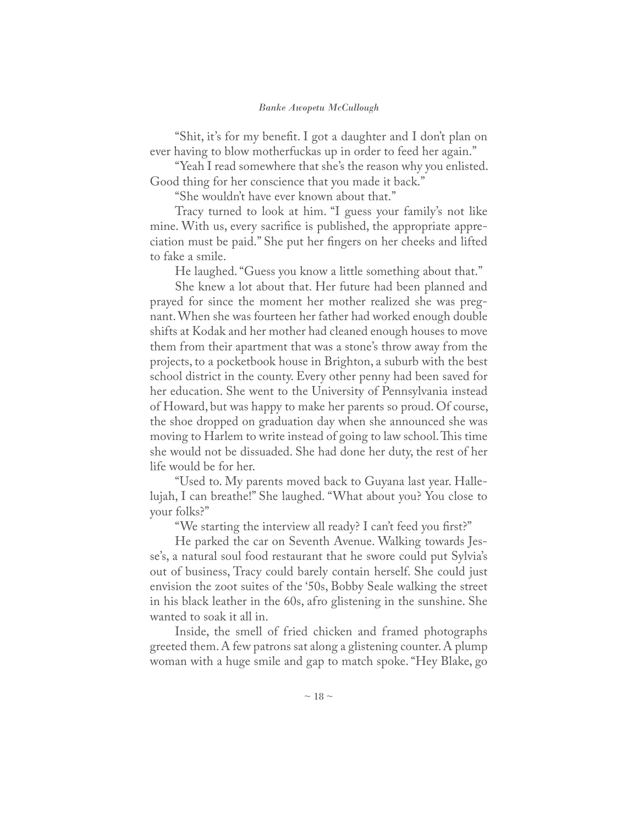"Shit, it's for my benefit. I got a daughter and I don't plan on ever having to blow motherfuckas up in order to feed her again."

"Yeah I read somewhere that she's the reason why you enlisted. Good thing for her conscience that you made it back."

"She wouldn't have ever known about that."

Tracy turned to look at him. "I guess your family's not like mine. With us, every sacrifice is published, the appropriate appreciation must be paid." She put her fingers on her cheeks and lifted to fake a smile.

He laughed. "Guess you know a little something about that."

She knew a lot about that. Her future had been planned and prayed for since the moment her mother realized she was pregnant. When she was fourteen her father had worked enough double shifts at Kodak and her mother had cleaned enough houses to move them from their apartment that was a stone's throw away from the projects, to a pocketbook house in Brighton, a suburb with the best school district in the county. Every other penny had been saved for her education. She went to the University of Pennsylvania instead of Howard, but was happy to make her parents so proud. Of course, the shoe dropped on graduation day when she announced she was moving to Harlem to write instead of going to law school. This time she would not be dissuaded. She had done her duty, the rest of her life would be for her.

"Used to. My parents moved back to Guyana last year. Hallelujah, I can breathe!" She laughed. "What about you? You close to your folks?"

"We starting the interview all ready? I can't feed you first?"

He parked the car on Seventh Avenue. Walking towards Jesse's, a natural soul food restaurant that he swore could put Sylvia's out of business, Tracy could barely contain herself. She could just envision the zoot suites of the '50s, Bobby Seale walking the street in his black leather in the 60s, afro glistening in the sunshine. She wanted to soak it all in.

Inside, the smell of fried chicken and framed photographs greeted them. A few patrons sat along a glistening counter. A plump woman with a huge smile and gap to match spoke. "Hey Blake, go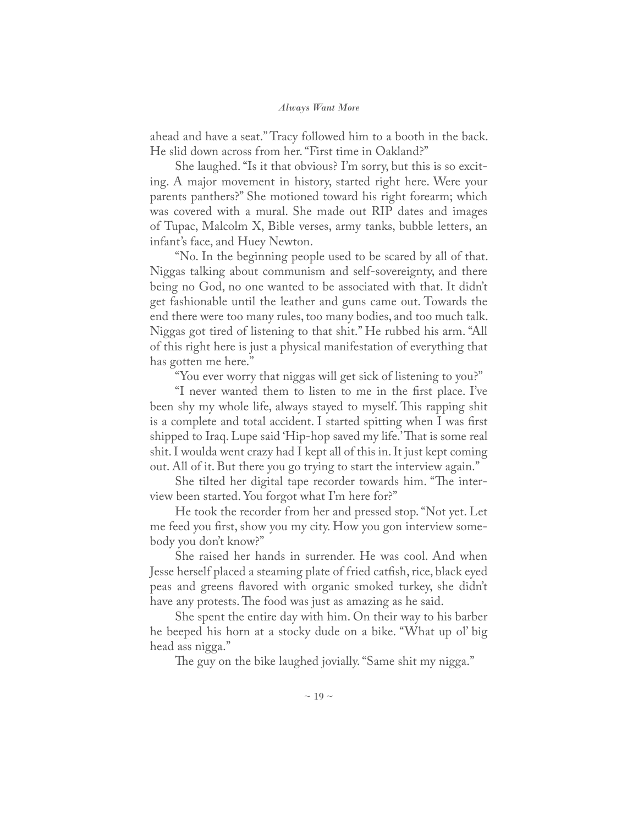ahead and have a seat." Tracy followed him to a booth in the back. He slid down across from her. "First time in Oakland?"

She laughed. "Is it that obvious? I'm sorry, but this is so exciting. A major movement in history, started right here. Were your parents panthers?" She motioned toward his right forearm; which was covered with a mural. She made out RIP dates and images of Tupac, Malcolm X, Bible verses, army tanks, bubble letters, an infant's face, and Huey Newton.

"No. In the beginning people used to be scared by all of that. Niggas talking about communism and self-sovereignty, and there being no God, no one wanted to be associated with that. It didn't get fashionable until the leather and guns came out. Towards the end there were too many rules, too many bodies, and too much talk. Niggas got tired of listening to that shit." He rubbed his arm. "All of this right here is just a physical manifestation of everything that has gotten me here."

"You ever worry that niggas will get sick of listening to you?"

"I never wanted them to listen to me in the first place. I've been shy my whole life, always stayed to myself. This rapping shit is a complete and total accident. I started spitting when I was first shipped to Iraq. Lupe said 'Hip-hop saved my life.' That is some real shit. I woulda went crazy had I kept all of this in. It just kept coming out. All of it. But there you go trying to start the interview again."

She tilted her digital tape recorder towards him. "The interview been started. You forgot what I'm here for?"

He took the recorder from her and pressed stop. "Not yet. Let me feed you first, show you my city. How you gon interview somebody you don't know?"

She raised her hands in surrender. He was cool. And when Jesse herself placed a steaming plate of fried catfish, rice, black eyed peas and greens flavored with organic smoked turkey, she didn't have any protests. The food was just as amazing as he said.

She spent the entire day with him. On their way to his barber he beeped his horn at a stocky dude on a bike. "What up ol' big head ass nigga."

The guy on the bike laughed jovially. "Same shit my nigga."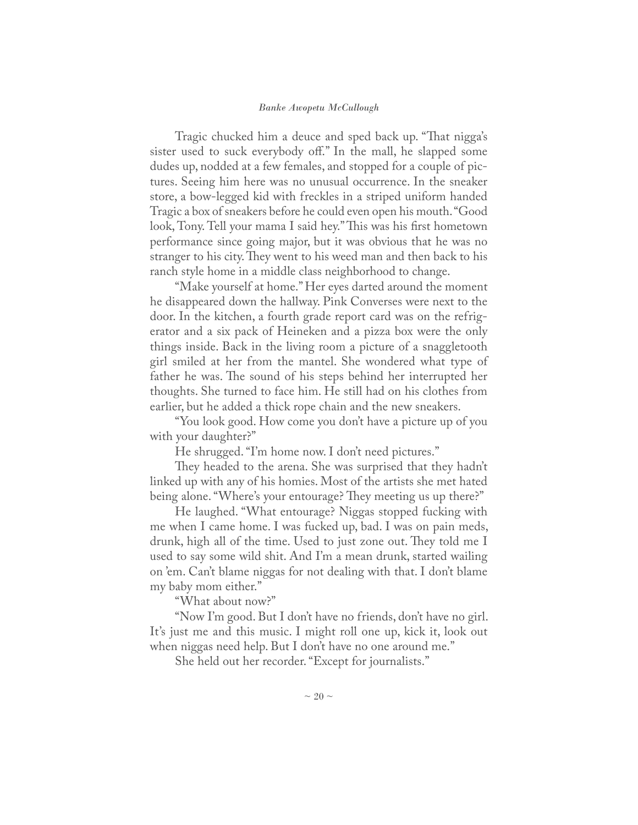Tragic chucked him a deuce and sped back up. "That nigga's sister used to suck everybody off." In the mall, he slapped some dudes up, nodded at a few females, and stopped for a couple of pictures. Seeing him here was no unusual occurrence. In the sneaker store, a bow-legged kid with freckles in a striped uniform handed Tragic a box of sneakers before he could even open his mouth. "Good look, Tony. Tell your mama I said hey." This was his first hometown performance since going major, but it was obvious that he was no stranger to his city. They went to his weed man and then back to his ranch style home in a middle class neighborhood to change.

"Make yourself at home." Her eyes darted around the moment he disappeared down the hallway. Pink Converses were next to the door. In the kitchen, a fourth grade report card was on the refrigerator and a six pack of Heineken and a pizza box were the only things inside. Back in the living room a picture of a snaggletooth girl smiled at her from the mantel. She wondered what type of father he was. The sound of his steps behind her interrupted her thoughts. She turned to face him. He still had on his clothes from earlier, but he added a thick rope chain and the new sneakers.

"You look good. How come you don't have a picture up of you with your daughter?"

He shrugged. "I'm home now. I don't need pictures."

They headed to the arena. She was surprised that they hadn't linked up with any of his homies. Most of the artists she met hated being alone. "Where's your entourage? They meeting us up there?"

He laughed. "What entourage? Niggas stopped fucking with me when I came home. I was fucked up, bad. I was on pain meds, drunk, high all of the time. Used to just zone out. They told me I used to say some wild shit. And I'm a mean drunk, started wailing on 'em. Can't blame niggas for not dealing with that. I don't blame my baby mom either."

"What about now?"

"Now I'm good. But I don't have no friends, don't have no girl. It's just me and this music. I might roll one up, kick it, look out when niggas need help. But I don't have no one around me."

She held out her recorder. "Except for journalists."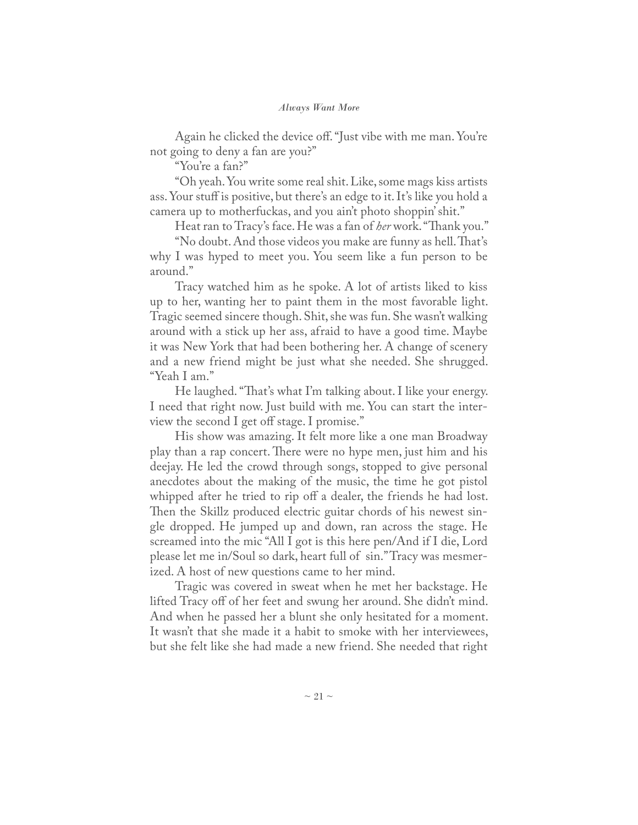Again he clicked the device off. "Just vibe with me man. You're not going to deny a fan are you?"

"You're a fan?"

"Oh yeah. You write some real shit. Like, some mags kiss artists ass. Your stuff is positive, but there's an edge to it. It's like you hold a camera up to motherfuckas, and you ain't photo shoppin'shit."

Heat ran to Tracy's face. He was a fan of *her* work. "Thank you."

"No doubt. And those videos you make are funny as hell. That's why I was hyped to meet you. You seem like a fun person to be around."

Tracy watched him as he spoke. A lot of artists liked to kiss up to her, wanting her to paint them in the most favorable light. Tragic seemed sincere though. Shit, she was fun. She wasn't walking around with a stick up her ass, afraid to have a good time. Maybe it was New York that had been bothering her. A change of scenery and a new friend might be just what she needed. She shrugged. "Yeah I am."

He laughed. "That's what I'm talking about. I like your energy. I need that right now. Just build with me. You can start the interview the second I get off stage. I promise."

His show was amazing. It felt more like a one man Broadway play than a rap concert. There were no hype men, just him and his deejay. He led the crowd through songs, stopped to give personal anecdotes about the making of the music, the time he got pistol whipped after he tried to rip off a dealer, the friends he had lost. Then the Skillz produced electric guitar chords of his newest single dropped. He jumped up and down, ran across the stage. He screamed into the mic "All I got is this here pen/And if I die, Lord please let me in/Soul so dark, heart full of sin." Tracy was mesmerized. A host of new questions came to her mind.

Tragic was covered in sweat when he met her backstage. He lifted Tracy off of her feet and swung her around. She didn't mind. And when he passed her a blunt she only hesitated for a moment. It wasn't that she made it a habit to smoke with her interviewees, but she felt like she had made a new friend. She needed that right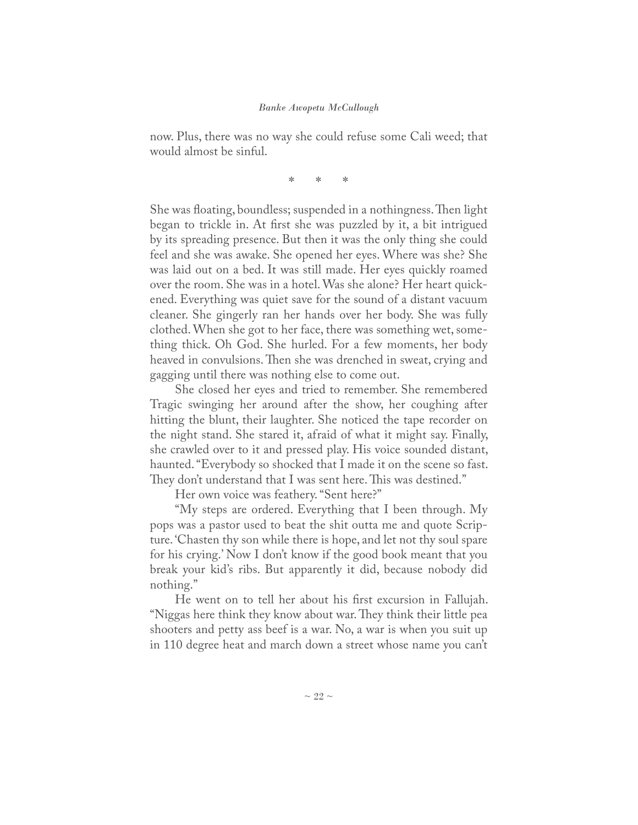now. Plus, there was no way she could refuse some Cali weed; that would almost be sinful.

 $\ast$ 

She was floating, boundless; suspended in a nothingness. Then light began to trickle in. At first she was puzzled by it, a bit intrigued by its spreading presence. But then it was the only thing she could feel and she was awake. She opened her eyes. Where was she? She was laid out on a bed. It was still made. Her eyes quickly roamed over the room. She was in a hotel. Was she alone? Her heart quickened. Everything was quiet save for the sound of a distant vacuum cleaner. She gingerly ran her hands over her body. She was fully clothed. When she got to her face, there was something wet, something thick. Oh God. She hurled. For a few moments, her body heaved in convulsions. Then she was drenched in sweat, crying and gagging until there was nothing else to come out.

She closed her eyes and tried to remember. She remembered Tragic swinging her around after the show, her coughing after hitting the blunt, their laughter. She noticed the tape recorder on the night stand. She stared it, afraid of what it might say. Finally, she crawled over to it and pressed play. His voice sounded distant, haunted. "Everybody so shocked that I made it on the scene so fast. They don't understand that I was sent here. This was destined."

Her own voice was feathery. "Sent here?"

"My steps are ordered. Everything that I been through. My pops was a pastor used to beat the shit outta me and quote Scripture. Chasten thy son while there is hope, and let not thy soul spare for his crying.' Now I don't know if the good book meant that you break your kid's ribs. But apparently it did, because nobody did nothing."

He went on to tell her about his first excursion in Fallujah. "Niggas here think they know about war. They think their little pea shooters and petty ass beef is a war. No, a war is when you suit up in 110 degree heat and march down a street whose name you can't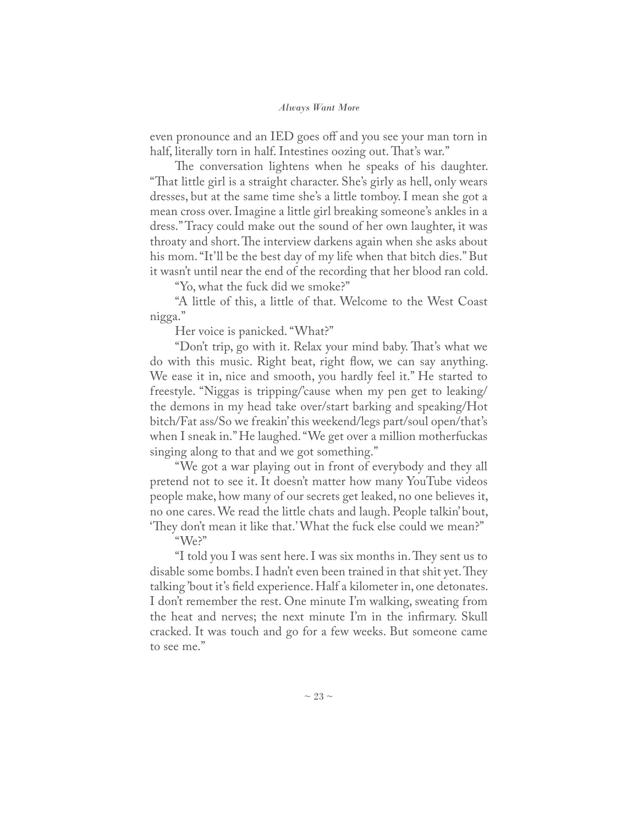even pronounce and an IED goes off and you see your man torn in half, literally torn in half. Intestines oozing out. That's war."

The conversation lightens when he speaks of his daughter. "That little girl is a straight character. She's girly as hell, only wears dresses, but at the same time she's a little tomboy. I mean she got a mean cross over. Imagine a little girl breaking someone's ankles in a dress." Tracy could make out the sound of her own laughter, it was throaty and short. The interview darkens again when she asks about his mom. "It'll be the best day of my life when that bitch dies." But it wasn't until near the end of the recording that her blood ran cold.

"Yo, what the fuck did we smoke?"

"A little of this, a little of that. Welcome to the West Coast nigga."

Her voice is panicked. "What?"

"Don't trip, go with it. Relax your mind baby. That's what we do with this music. Right beat, right flow, we can say anything. We ease it in, nice and smooth, you hardly feel it." He started to freestyle. "Niggas is tripping/'cause when my pen get to leaking/ the demons in my head take over/start barking and speaking/Hot bitch/Fat ass/So we freakin' this weekend/legs part/soul open/that's when I sneak in." He laughed. "We get over a million motherfuckas singing along to that and we got something."

"We got a war playing out in front of everybody and they all pretend not to see it. It doesn't matter how many YouTube videos people make, how many of our secrets get leaked, no one believes it, no one cares. We read the little chats and laugh. People talkin' bout, "They don't mean it like that.' What the fuck else could we mean?"

"We?"

"I told you I was sent here. I was six months in. They sent us to disable some bombs. I hadn't even been trained in that shit yet. They talking 'bout it's field experience. Half a kilometer in, one detonates. I don't remember the rest. One minute I'm walking, sweating from the heat and nerves; the next minute I'm in the infirmary. Skull cracked. It was touch and go for a few weeks. But someone came to see me."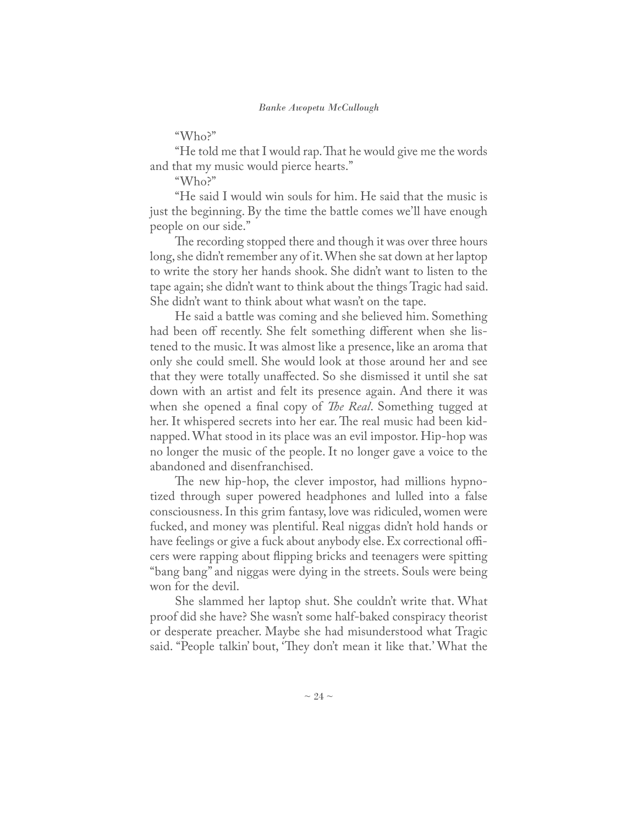"Who?"

"He told me that I would rap. That he would give me the words and that my music would pierce hearts."

"Who?"

"He said I would win souls for him. He said that the music is just the beginning. By the time the battle comes we'll have enough people on our side."

The recording stopped there and though it was over three hours long, she didn't remember any of it. When she sat down at her laptop to write the story her hands shook. She didn't want to listen to the tape again; she didn't want to think about the things Tragic had said. She didn't want to think about what wasn't on the tape.

He said a battle was coming and she believed him. Something had been off recently. She felt something different when she listened to the music. It was almost like a presence, like an aroma that only she could smell. She would look at those around her and see that they were totally unaffected. So she dismissed it until she sat down with an artist and felt its presence again. And there it was when she opened a final copy of *The Real*. Something tugged at her. It whispered secrets into her ear. The real music had been kidnapped. What stood in its place was an evil impostor. Hip-hop was no longer the music of the people. It no longer gave a voice to the abandoned and disenfranchised.

The new hip-hop, the clever impostor, had millions hypnotized through super powered headphones and lulled into a false consciousness. In this grim fantasy, love was ridiculed, women were fucked, and money was plentiful. Real niggas didn't hold hands or have feelings or give a fuck about anybody else. Ex correctional officers were rapping about flipping bricks and teenagers were spitting "bang bang" and niggas were dying in the streets. Souls were being won for the devil.

She slammed her laptop shut. She couldn't write that. What proof did she have? She wasn't some half-baked conspiracy theorist or desperate preacher. Maybe she had misunderstood what Tragic said. "People talkin' bout, 'They don't mean it like that.' What the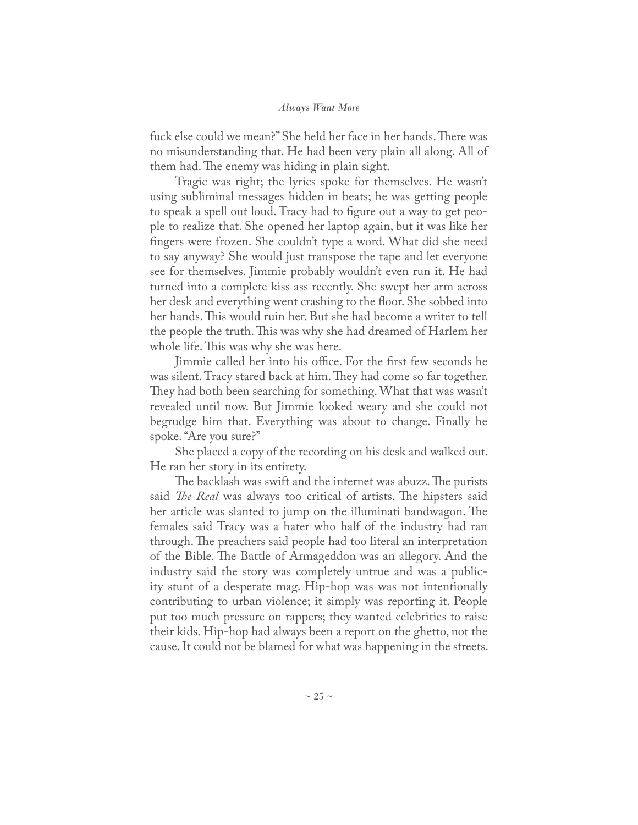fuck else could we mean?" She held her face in her hands. There was no misunderstanding that. He had been very plain all along. All of them had. The enemy was hiding in plain sight.

Tragic was right; the lyrics spoke for themselves. He wasn't using subliminal messages hidden in beats; he was getting people to speak a spell out loud. Tracy had to figure out a way to get people to realize that. She opened her laptop again, but it was like her fingers were frozen. She couldn't type a word. What did she need to say anyway? She would just transpose the tape and let everyone see for themselves. Jimmie probably wouldn't even run it. He had turned into a complete kiss ass recently. She swept her arm across her desk and everything went crashing to the floor. She sobbed into her hands. This would ruin her. But she had become a writer to tell the people the truth. This was why she had dreamed of Harlem her whole life. This was why she was here.

limmie called her into his office. For the first few seconds he was silent. Tracy stared back at him. They had come so far together. They had both been searching for something. What that was wasn't revealed until now. But Jimmie looked weary and she could not begrudge him that. Everything was about to change. Finally he spoke. "Are you sure?"

She placed a copy of the recording on his desk and walked out. He ran her story in its entirety.

The backlash was swift and the internet was abuzz. The purists said *The Real* was always too critical of artists. The hipsters said her article was slanted to jump on the illuminati bandwagon. The females said Tracy was a hater who half of the industry had ran through. The preachers said people had too literal an interpretation of the Bible. The Battle of Armageddon was an allegory. And the industry said the story was completely untrue and was a publicity stunt of a desperate mag. Hip-hop was was not intentionally contributing to urban violence; it simply was reporting it. People put too much pressure on rappers; they wanted celebrities to raise their kids. Hip-hop had always been a report on the ghetto, not the cause. It could not be blamed for what was happening in the streets.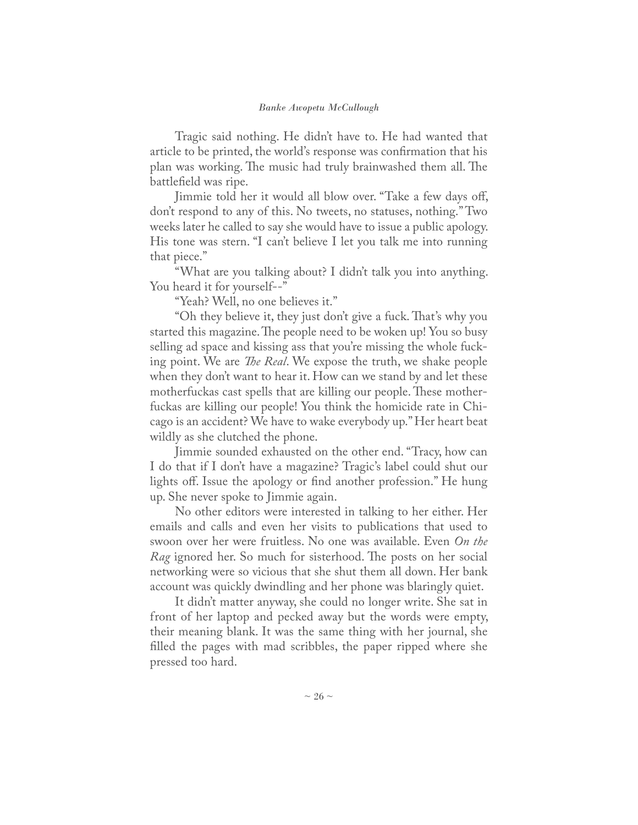Tragic said nothing. He didn't have to. He had wanted that article to be printed, the world's response was confirmation that his plan was working. The music had truly brainwashed them all. The battlefield was ripe.

Jimmie told her it would all blow over. "Take a few days off, don't respond to any of this. No tweets, no statuses, nothing." Two weeks later he called to say she would have to issue a public apology. His tone was stern. "I can't believe I let you talk me into running that piece."

"What are you talking about? I didn't talk you into anything. You heard it for yourself--"

"Yeah? Well, no one believes it."

"Oh they believe it, they just don't give a fuck. That's why you started this magazine. The people need to be woken up! You so busy selling ad space and kissing ass that you're missing the whole fucking point. We are *The Real*. We expose the truth, we shake people when they don't want to hear it. How can we stand by and let these motherfuckas cast spells that are killing our people. These motherfuckas are killing our people! You think the homicide rate in Chicago is an accident? We have to wake everybody up." Her heart beat wildly as she clutched the phone.

Jimmie sounded exhausted on the other end. "Tracy, how can I do that if I don't have a magazine? Tragic's label could shut our lights off. Issue the apology or find another profession." He hung up. She never spoke to Jimmie again.

No other editors were interested in talking to her either. Her emails and calls and even her visits to publications that used to swoon over her were fruitless. No one was available. Even On the *Rag* ignored her. So much for sisterhood. The posts on her social networking were so vicious that she shut them all down. Her bank account was quickly dwindling and her phone was blaringly quiet.

It didn't matter anyway, she could no longer write. She sat in front of her laptop and pecked away but the words were empty, their meaning blank. It was the same thing with her journal, she filled the pages with mad scribbles, the paper ripped where she pressed too hard.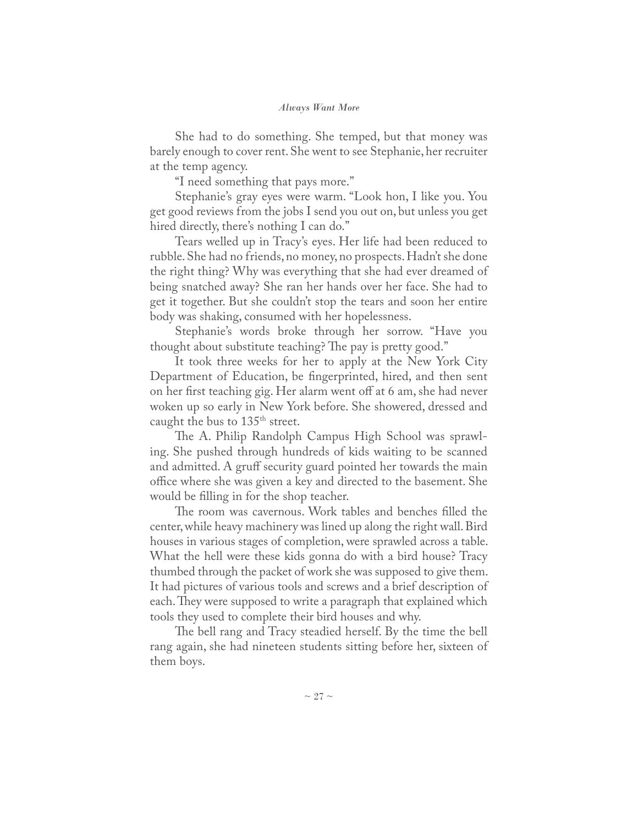She had to do something. She temped, but that money was barely enough to cover rent. She went to see Stephanie, her recruiter at the temp agency.

"I need something that pays more."

Stephanie's gray eyes were warm. "Look hon, I like you. You get good reviews from the jobs I send you out on, but unless you get hired directly, there's nothing I can do."

Tears welled up in Tracy's eyes. Her life had been reduced to rubble. She had no friends, no money, no prospects. Hadn't she done the right thing? Why was everything that she had ever dreamed of being snatched away? She ran her hands over her face. She had to get it together. But she couldn't stop the tears and soon her entire body was shaking, consumed with her hopelessness.

Stephanie's words broke through her sorrow. "Have you thought about substitute teaching? The pay is pretty good."

It took three weeks for her to apply at the New York City Department of Education, be fingerprinted, hired, and then sent on her first teaching gig. Her alarm went off at 6 am, she had never woken up so early in New York before. She showered, dressed and caught the bus to 135<sup>th</sup> street.

The A. Philip Randolph Campus High School was sprawling. She pushed through hundreds of kids waiting to be scanned and admitted. A gruff security guard pointed her towards the main office where she was given a key and directed to the basement. She would be filling in for the shop teacher.

The room was cavernous. Work tables and benches filled the center, while heavy machinery was lined up along the right wall. Bird houses in various stages of completion, were sprawled across a table. What the hell were these kids gonna do with a bird house? Tracy thumbed through the packet of work she was supposed to give them. It had pictures of various tools and screws and a brief description of each. They were supposed to write a paragraph that explained which tools they used to complete their bird houses and why.

The bell rang and Tracy steadied herself. By the time the bell rang again, she had nineteen students sitting before her, sixteen of them boys.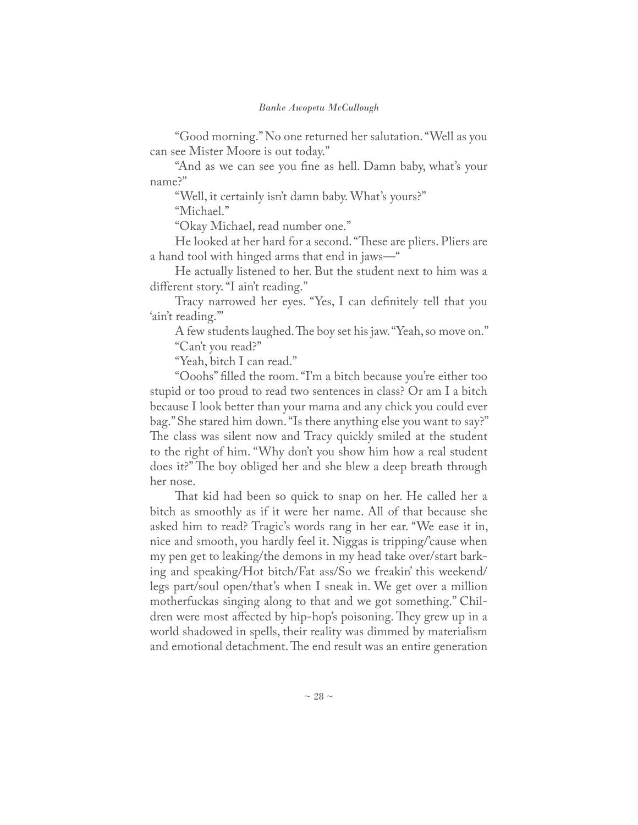"Good morning." No one returned her salutation. "Well as you can see Mister Moore is out today."

"And as we can see you fine as hell. Damn baby, what's your name?"

"Well, it certainly isn't damn baby. What's yours?"

"Michael."

"Okay Michael, read number one."

He looked at her hard for a second. "These are pliers. Pliers are a hand tool with hinged arms that end in jaws—"

He actually listened to her. But the student next to him was a different story. "I ain't reading."

Tracy narrowed her eyes. "Yes, I can definitely tell that you 'ain't reading."

A few students laughed. The boy set his jaw. "Yeah, so move on." "Can't you read?"

"Yeah, bitch I can read."

"Ooohs" filled the room. "I'm a bitch because you're either too stupid or too proud to read two sentences in class? Or am I a bitch because I look better than your mama and any chick you could ever bag." She stared him down. "Is there anything else you want to say?" The class was silent now and Tracy quickly smiled at the student to the right of him. "Why don't you show him how a real student does it?" The boy obliged her and she blew a deep breath through her nose.

That kid had been so quick to snap on her. He called her a bitch as smoothly as if it were her name. All of that because she asked him to read? Tragic's words rang in her ear. "We ease it in, nice and smooth, you hardly feel it. Niggas is tripping/cause when my pen get to leaking/the demons in my head take over/start barking and speaking/Hot bitch/Fat ass/So we freakin' this weekend/ legs part/soul open/that's when I sneak in. We get over a million motherfuckas singing along to that and we got something." Children were most affected by hip-hop's poisoning. They grew up in a world shadowed in spells, their reality was dimmed by materialism and emotional detachment. The end result was an entire generation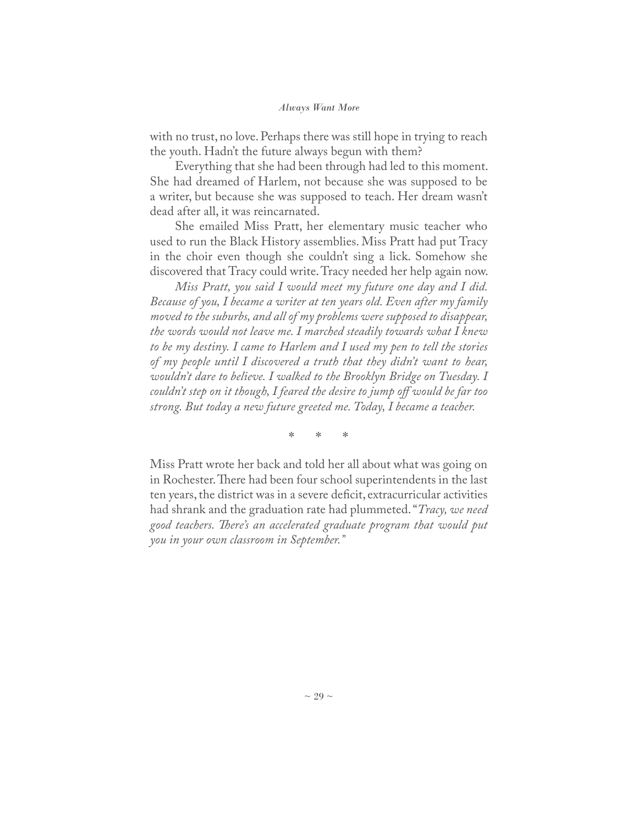with no trust, no love. Perhaps there was still hope in trying to reach the youth. Hadn't the future always begun with them?

Everything that she had been through had led to this moment. She had dreamed of Harlem, not because she was supposed to be a writer, but because she was supposed to teach. Her dream wasn't dead after all, it was reincarnated.

She emailed Miss Pratt, her elementary music teacher who used to run the Black History assemblies. Miss Pratt had put Tracy in the choir even though she couldn't sing a lick. Somehow she discovered that Tracy could write. Tracy needed her help again now.

*Miss Pratt, you said I would meet my future one day and I did.* Because of you, I became a writer at ten years old. Even after my family moved to the suburbs, and all of my problems were supposed to disappear, the words would not leave me. I marched steadily towards what I knew to be my destiny. I came to Harlem and I used my pen to tell the stories of my people until I discovered a truth that they didn't want to hear, wouldn't dare to believe. I walked to the Brooklyn Bridge on Tuesday. I couldn't step on it though, I feared the desire to jump off would be far too strong. But today a new future greeted me. Today, I became a teacher.

\*<br>\*<br>\*

Miss Pratt wrote her back and told her all about what was going on in Rochester. There had been four school superintendents in the last ten years, the district was in a severe deficit, extracurricular activities had shrank and the graduation rate had plummeted. "*Tracy*, we need good teachers. There's an accelerated graduate program that would put *you in your own classroom in September.*"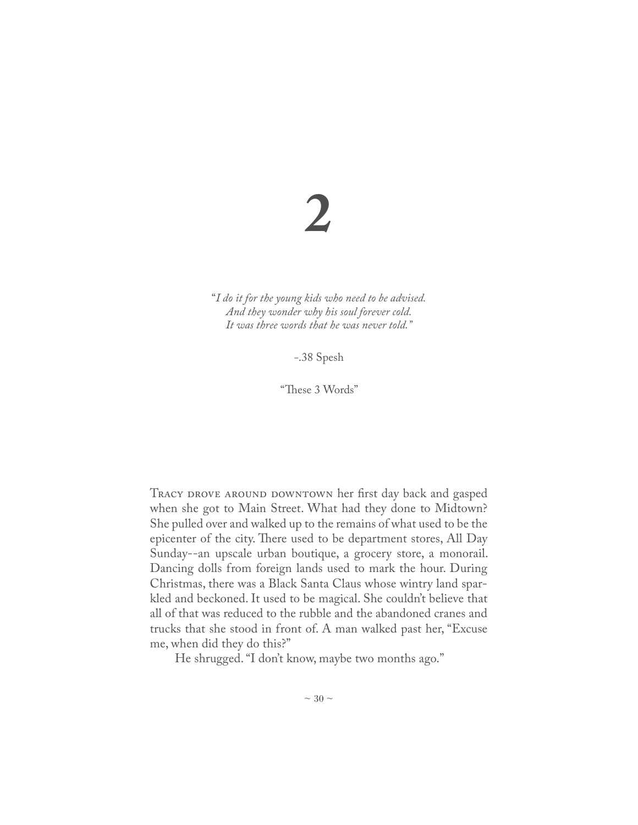# **2**

"I do it for the young kids who need to be advised. And they wonder why his soul forever cold. It was three words that he was never told."

-.38 Spesh

"These 3 Words"

TRACY DROVE AROUND DOWNTOWN her first day back and gasped when she got to Main Street. What had they done to Midtown? She pulled over and walked up to the remains of what used to be the epicenter of the city. There used to be department stores, All Day Sunday--an upscale urban boutique, a grocery store, a monorail. Dancing dolls from foreign lands used to mark the hour. During Christmas, there was a Black Santa Claus whose wintry land sparkled and beckoned. It used to be magical. She couldn't believe that all of that was reduced to the rubble and the abandoned cranes and trucks that she stood in front of. A man walked past her, "Excuse me, when did they do this?"

He shrugged. "I don't know, maybe two months ago."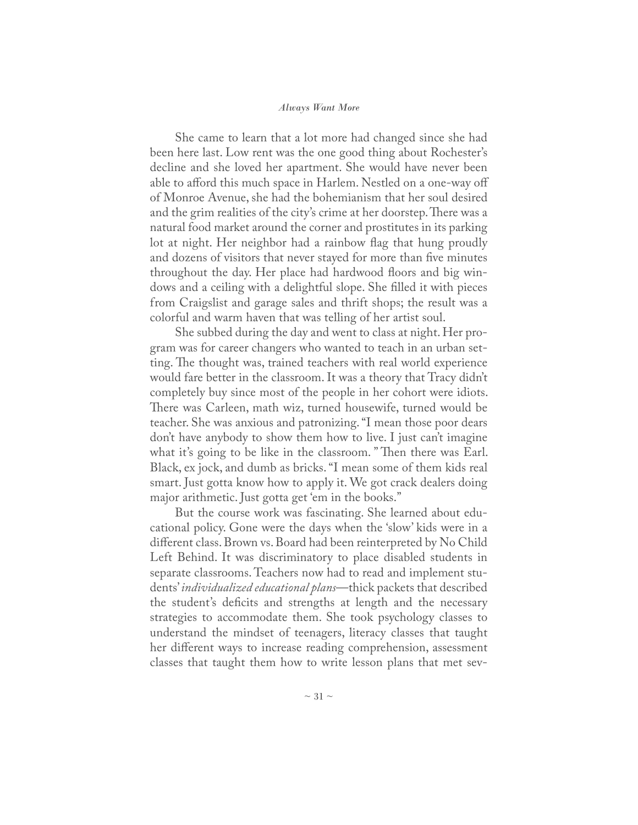She came to learn that a lot more had changed since she had been here last. Low rent was the one good thing about Rochester's decline and she loved her apartment. She would have never been able to afford this much space in Harlem. Nestled on a one-way off of Monroe Avenue, she had the bohemianism that her soul desired and the grim realities of the city's crime at her doorstep. There was a natural food market around the corner and prostitutes in its parking lot at night. Her neighbor had a rainbow flag that hung proudly and dozens of visitors that never stayed for more than five minutes throughout the day. Her place had hardwood floors and big windows and a ceiling with a delightful slope. She filled it with pieces from Craigslist and garage sales and thrift shops; the result was a colorful and warm haven that was telling of her artist soul.

She subbed during the day and went to class at night. Her program was for career changers who wanted to teach in an urban setting. The thought was, trained teachers with real world experience would fare better in the classroom. It was a theory that Tracy didn't completely buy since most of the people in her cohort were idiots. There was Carleen, math wiz, turned housewife, turned would be teacher. She was anxious and patronizing. "I mean those poor dears don't have anybody to show them how to live. I just can't imagine what it's going to be like in the classroom. "Then there was Earl. Black, ex jock, and dumb as bricks. "I mean some of them kids real smart. Just gotta know how to apply it. We got crack dealers doing major arithmetic. Just gotta get 'em in the books."

But the course work was fascinating. She learned about educational policy. Gone were the days when the 'slow' kids were in a different class. Brown vs. Board had been reinterpreted by No Child Left Behind. It was discriminatory to place disabled students in separate classrooms. Teachers now had to read and implement students' individualized educational plans—thick packets that described the student's deficits and strengths at length and the necessary strategies to accommodate them. She took psychology classes to understand the mindset of teenagers, literacy classes that taught her different ways to increase reading comprehension, assessment classes that taught them how to write lesson plans that met sev-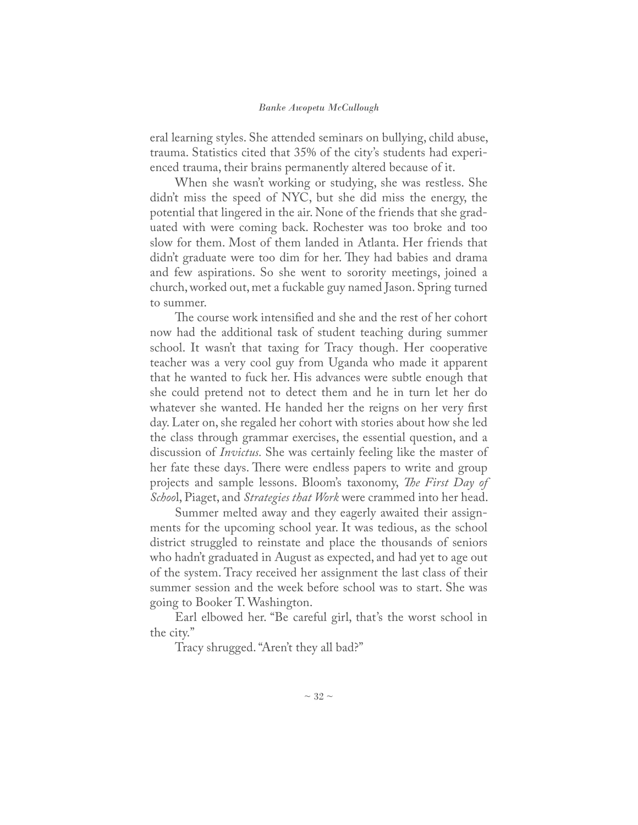eral learning styles. She attended seminars on bullying, child abuse, trauma. Statistics cited that 35% of the city's students had experienced trauma, their brains permanently altered because of it.

When she wasn't working or studying, she was restless. She didn't miss the speed of NYC, but she did miss the energy, the potential that lingered in the air. None of the friends that she graduated with were coming back. Rochester was too broke and too slow for them. Most of them landed in Atlanta. Her friends that didn't graduate were too dim for her. They had babies and drama and few aspirations. So she went to sorority meetings, joined a church, worked out, met a fuckable guy named Jason. Spring turned to summer.

The course work intensified and she and the rest of her cohort now had the additional task of student teaching during summer school. It wasn't that taxing for Tracy though. Her cooperative teacher was a very cool guy from Uganda who made it apparent that he wanted to fuck her. His advances were subtle enough that she could pretend not to detect them and he in turn let her do whatever she wanted. He handed her the reigns on her very first day. Later on, she regaled her cohort with stories about how she led the class through grammar exercises, the essential question, and a discussion of *Invictus*. She was certainly feeling like the master of her fate these days. There were endless papers to write and group projects and sample lessons. Bloom's taxonomy, *The First Day of School*, Piaget, and *Strategies that Work* were crammed into her head.

Summer melted away and they eagerly awaited their assignments for the upcoming school year. It was tedious, as the school district struggled to reinstate and place the thousands of seniors who hadn't graduated in August as expected, and had yet to age out of the system. Tracy received her assignment the last class of their summer session and the week before school was to start. She was going to Booker T. Washington.

Earl elbowed her. "Be careful girl, that's the worst school in the city."

Tracy shrugged. "Aren't they all bad?"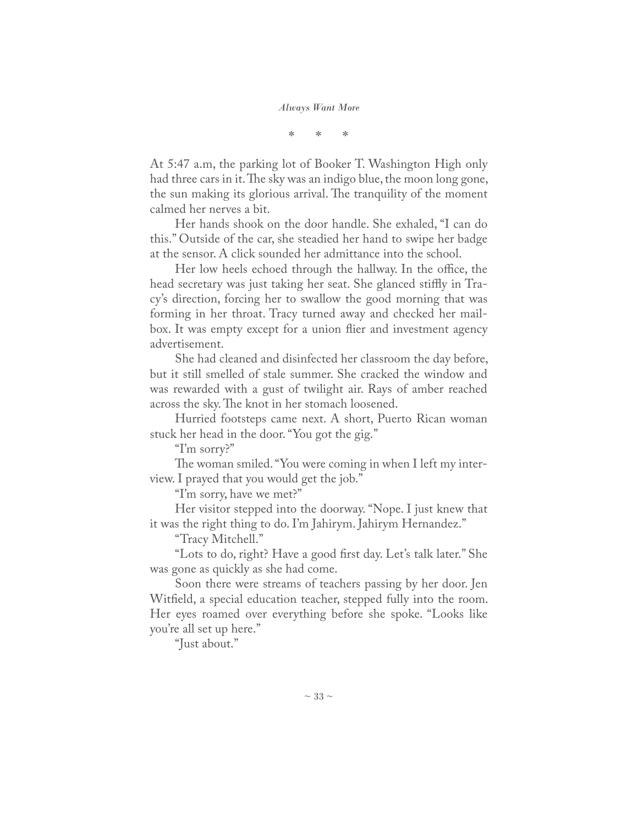ÞÞÞÞÞÞÞÞÞÞ

At 5:47 a.m, the parking lot of Booker T. Washington High only had three cars in it. The sky was an indigo blue, the moon long gone, the sun making its glorious arrival. The tranquility of the moment calmed her nerves a bit.

Her hands shook on the door handle. She exhaled, "I can do this." Outside of the car, she steadied her hand to swipe her badge at the sensor. A click sounded her admittance into the school.

Her low heels echoed through the hallway. In the office, the head secretary was just taking her seat. She glanced stiffly in Tracy's direction, forcing her to swallow the good morning that was forming in her throat. Tracy turned away and checked her mailbox. It was empty except for a union flier and investment agency advertisement.

She had cleaned and disinfected her classroom the day before, but it still smelled of stale summer. She cracked the window and was rewarded with a gust of twilight air. Rays of amber reached across the sky. The knot in her stomach loosened.

Hurried footsteps came next. A short, Puerto Rican woman stuck her head in the door. "You got the gig."

"I'm sorry?"

The woman smiled. "You were coming in when I left my interview. I prayed that you would get the job."

"I'm sorry, have we met?"

Her visitor stepped into the doorway. "Nope. I just knew that it was the right thing to do. I'm Jahirym. Jahirym Hernandez."

"Tracy Mitchell."

"Lots to do, right? Have a good first day. Let's talk later." She was gone as quickly as she had come.

Soon there were streams of teachers passing by her door. Jen Witfield, a special education teacher, stepped fully into the room. Her eyes roamed over everything before she spoke. "Looks like you're all set up here."

"Just about."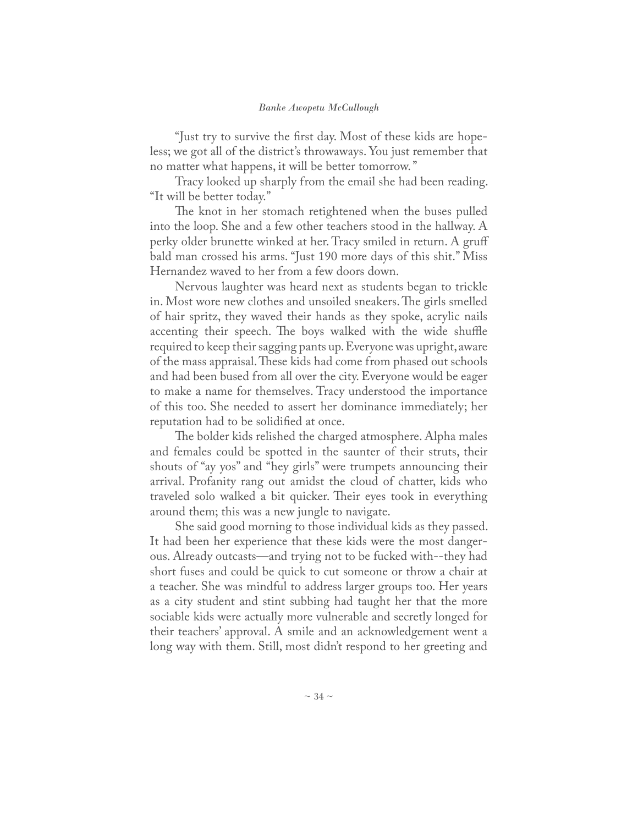"Just try to survive the first day. Most of these kids are hopeless; we got all of the district's throwaways. You just remember that no matter what happens, it will be better tomorrow."

Tracy looked up sharply from the email she had been reading. "It will be better today."

The knot in her stomach retightened when the buses pulled into the loop. She and a few other teachers stood in the hallway. A perky older brunette winked at her. Tracy smiled in return. A gruff bald man crossed his arms. "Just 190 more days of this shit." Miss Hernandez waved to her from a few doors down.

Nervous laughter was heard next as students began to trickle in. Most wore new clothes and unsoiled sneakers. The girls smelled of hair spritz, they waved their hands as they spoke, acrylic nails accenting their speech. The boys walked with the wide shuffle required to keep their sagging pants up. Everyone was upright, aware of the mass appraisal. These kids had come from phased out schools and had been bused from all over the city. Everyone would be eager to make a name for themselves. Tracy understood the importance of this too. She needed to assert her dominance immediately; her reputation had to be solidified at once.

The bolder kids relished the charged atmosphere. Alpha males and females could be spotted in the saunter of their struts, their shouts of "ay yos" and "hey girls" were trumpets announcing their arrival. Profanity rang out amidst the cloud of chatter, kids who traveled solo walked a bit quicker. Their eyes took in everything around them; this was a new jungle to navigate.

She said good morning to those individual kids as they passed. It had been her experience that these kids were the most dangerous. Already outcasts—and trying not to be fucked with--they had short fuses and could be quick to cut someone or throw a chair at a teacher. She was mindful to address larger groups too. Her years as a city student and stint subbing had taught her that the more sociable kids were actually more vulnerable and secretly longed for their teachers' approval. A smile and an acknowledgement went a long way with them. Still, most didn't respond to her greeting and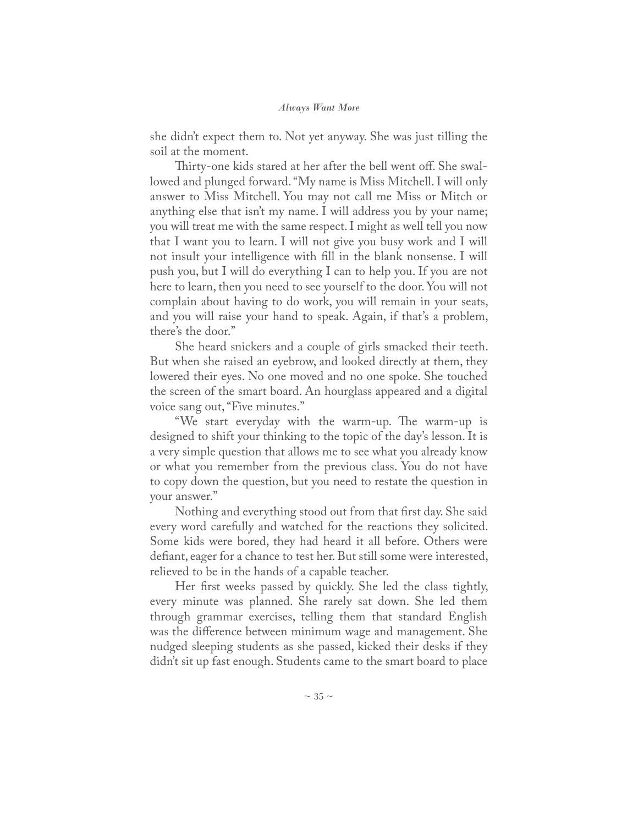she didn't expect them to. Not yet anyway. She was just tilling the soil at the moment.

Thirty-one kids stared at her after the bell went off. She swallowed and plunged forward. "My name is Miss Mitchell. I will only answer to Miss Mitchell. You may not call me Miss or Mitch or anything else that isn't my name. I will address you by your name; you will treat me with the same respect. I might as well tell you now that I want you to learn. I will not give you busy work and I will not insult your intelligence with fill in the blank nonsense. I will push you, but I will do everything I can to help you. If you are not here to learn, then you need to see yourself to the door. You will not complain about having to do work, you will remain in your seats, and you will raise your hand to speak. Again, if that's a problem, there's the door."

She heard snickers and a couple of girls smacked their teeth. But when she raised an eyebrow, and looked directly at them, they lowered their eyes. No one moved and no one spoke. She touched the screen of the smart board. An hourglass appeared and a digital voice sang out, "Five minutes."

"We start everyday with the warm-up. The warm-up is designed to shift your thinking to the topic of the day's lesson. It is a very simple question that allows me to see what you already know or what you remember from the previous class. You do not have to copy down the question, but you need to restate the question in your answer."

Nothing and everything stood out from that first day. She said every word carefully and watched for the reactions they solicited. Some kids were bored, they had heard it all before. Others were defiant, eager for a chance to test her. But still some were interested, relieved to be in the hands of a capable teacher.

Her first weeks passed by quickly. She led the class tightly, every minute was planned. She rarely sat down. She led them through grammar exercises, telling them that standard English was the difference between minimum wage and management. She nudged sleeping students as she passed, kicked their desks if they didn't sit up fast enough. Students came to the smart board to place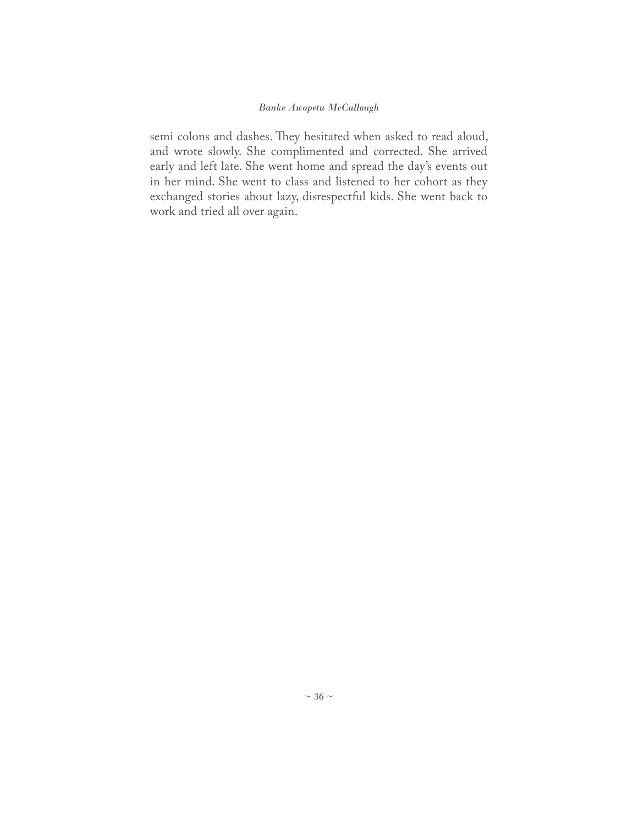semi colons and dashes. They hesitated when asked to read aloud, and wrote slowly. She complimented and corrected. She arrived early and left late. She went home and spread the day's events out in her mind. She went to class and listened to her cohort as they exchanged stories about lazy, disrespectful kids. She went back to work and tried all over again.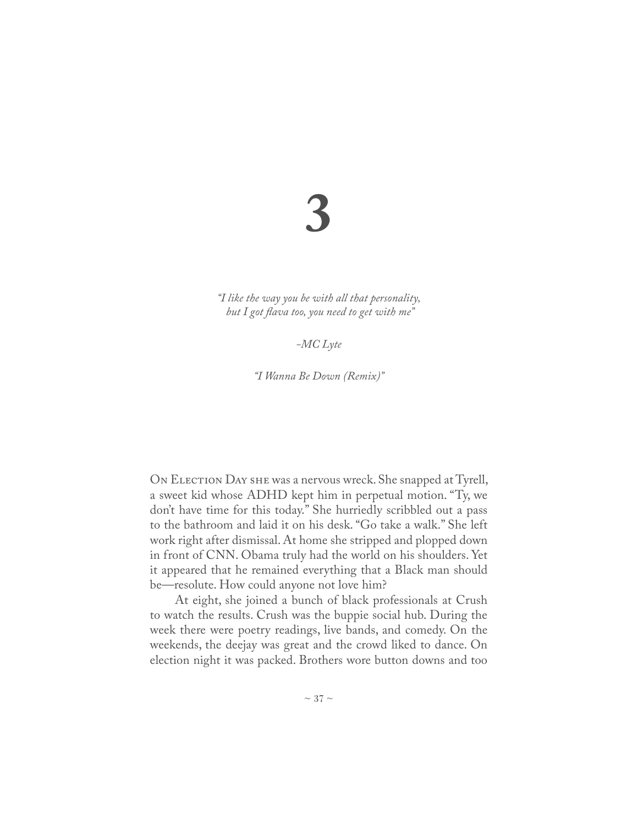

*iI like the way you be with all that personality,* but I got flava too, you need to get with me"

*-MC* Lyte

*iI Wanna Be Down (Remix)*"

ON ELECTION DAY SHE was a nervous wreck. She snapped at Tyrell, a sweet kid whose ADHD kept him in perpetual motion. "Ty, we don't have time for this today." She hurriedly scribbled out a pass to the bathroom and laid it on his desk. "Go take a walk." She left work right after dismissal. At home she stripped and plopped down in front of CNN. Obama truly had the world on his shoulders. Yet it appeared that he remained everything that a Black man should be—resolute. How could anyone not love him?

At eight, she joined a bunch of black professionals at Crush to watch the results. Crush was the buppie social hub. During the week there were poetry readings, live bands, and comedy. On the weekends, the deejay was great and the crowd liked to dance. On election night it was packed. Brothers wore button downs and too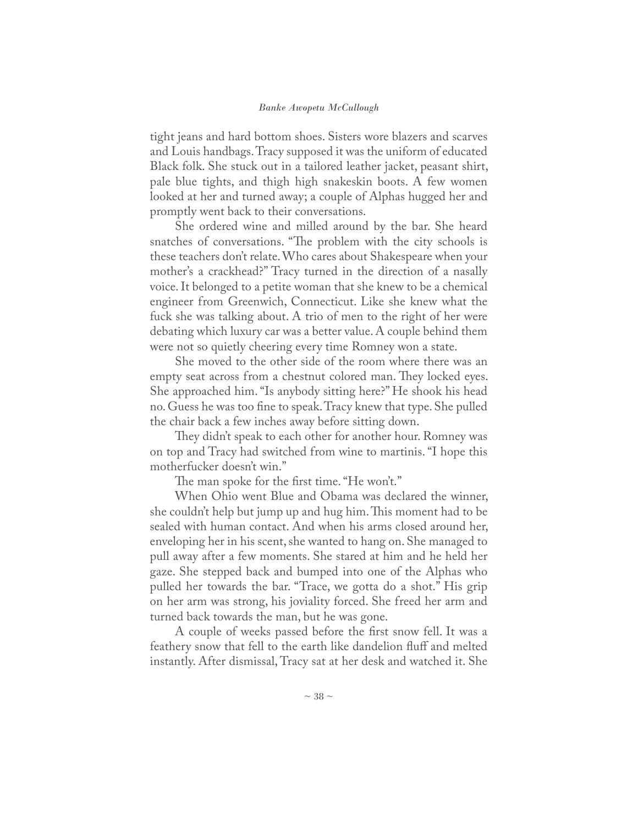tight jeans and hard bottom shoes. Sisters wore blazers and scarves and Louis handbags. Tracy supposed it was the uniform of educated Black folk. She stuck out in a tailored leather jacket, peasant shirt, pale blue tights, and thigh high snakeskin boots. A few women looked at her and turned away; a couple of Alphas hugged her and promptly went back to their conversations.

She ordered wine and milled around by the bar. She heard snatches of conversations. "The problem with the city schools is these teachers don't relate. Who cares about Shakespeare when your mother's a crackhead?" Tracy turned in the direction of a nasally woice. It belonged to a petite woman that she knew to be a chemical engineer from Greenwich, Connecticut. Like she knew what the fuck she was talking about. A trio of men to the right of her were debating which luxury car was a better value. A couple behind them were not so quietly cheering every time Romney won a state.

She moved to the other side of the room where there was an empty seat across from a chestnut colored man. They locked eyes. She approached him. "Is anybody sitting here?" He shook his head no. Guess he was too fine to speak. Tracy knew that type. She pulled the chair back a few inches away before sitting down.

They didn't speak to each other for another hour. Romney was on top and Tracy had switched from wine to martinis. "I hope this motherfucker doesn't win."

The man spoke for the first time. "He won't."

When Ohio went Blue and Obama was declared the winner, she couldn't help but jump up and hug him. This moment had to be sealed with human contact. And when his arms closed around her, enveloping her in his scent, she wanted to hang on. She managed to pull away after a few moments. She stared at him and he held her gaze. She stepped back and bumped into one of the Alphas who pulled her towards the bar. "Trace, we gotta do a shot." His grip on her arm was strong, his joviality forced. She freed her arm and turned back towards the man, but he was gone.

A couple of weeks passed before the first snow fell. It was a feathery snow that fell to the earth like dandelion fluff and melted instantly. After dismissal, Tracy sat at her desk and watched it. She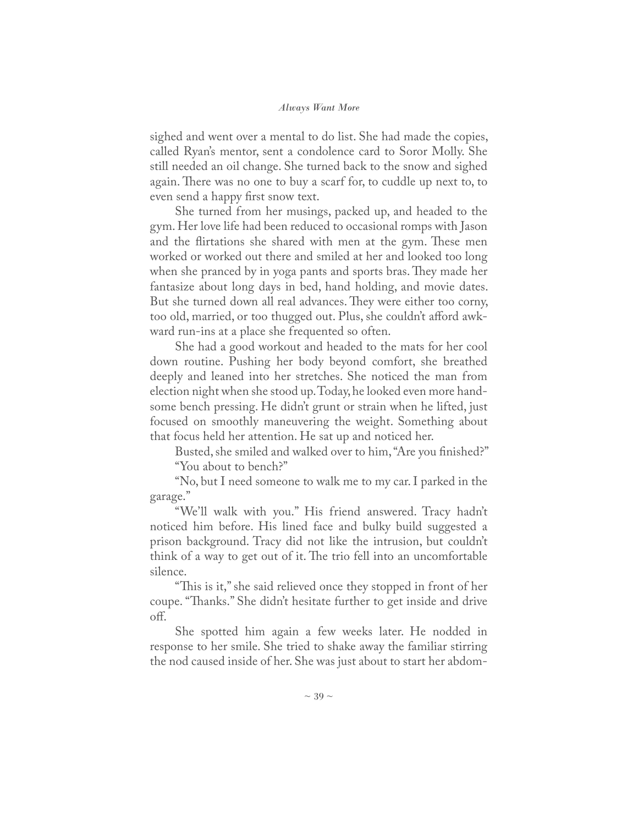sighed and went over a mental to do list. She had made the copies, called Ryan's mentor, sent a condolence card to Soror Molly. She still needed an oil change. She turned back to the snow and sighed again. There was no one to buy a scarf for, to cuddle up next to, to even send a happy first snow text.

She turned from her musings, packed up, and headed to the gym. Her love life had been reduced to occasional romps with Jason and the flirtations she shared with men at the gym. These men worked or worked out there and smiled at her and looked too long when she pranced by in yoga pants and sports bras. They made her fantasize about long days in bed, hand holding, and movie dates. But she turned down all real advances. They were either too corny, too old, married, or too thugged out. Plus, she couldn't afford awkward run-ins at a place she frequented so often.

She had a good workout and headed to the mats for her cool down routine. Pushing her body beyond comfort, she breathed deeply and leaned into her stretches. She noticed the man from election night when she stood up. Today, he looked even more handsome bench pressing. He didn't grunt or strain when he lifted, just focused on smoothly maneuvering the weight. Something about that focus held her attention. He sat up and noticed her.

Busted, she smiled and walked over to him, "Are you finished?" "You about to bench?"

"No, but I need someone to walk me to my car. I parked in the garage."

"We'll walk with you." His friend answered. Tracy hadn't noticed him before. His lined face and bulky build suggested a prison background. Tracy did not like the intrusion, but couldn't think of a way to get out of it. The trio fell into an uncomfortable silence.

"This is it," she said relieved once they stopped in front of her coupe. "Thanks." She didn't hesitate further to get inside and drive off.

She spotted him again a few weeks later. He nodded in response to her smile. She tried to shake away the familiar stirring the nod caused inside of her. She was just about to start her abdom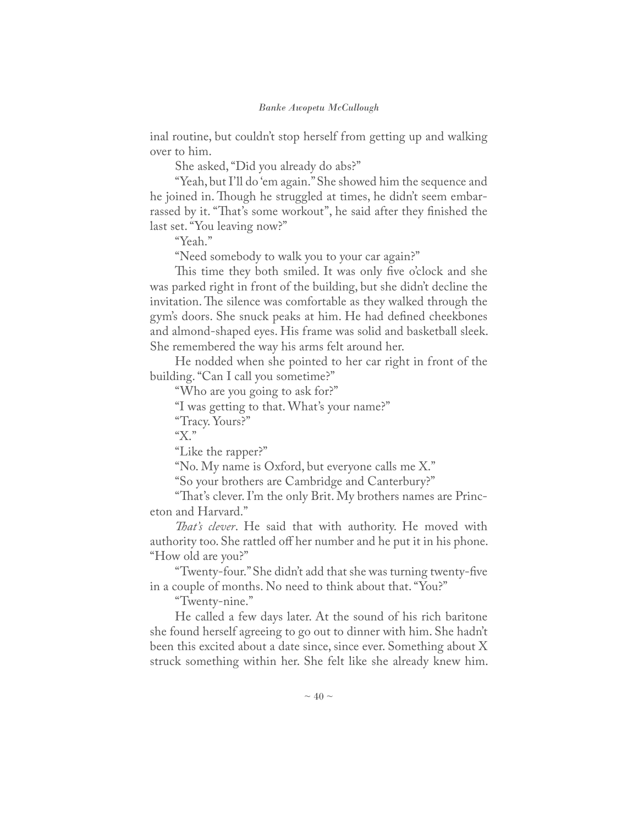inal routine, but couldn't stop herself from getting up and walking over to him.

She asked, "Did you already do abs?"

"Yeah, but I'll do 'em again." She showed him the sequence and he joined in. Though he struggled at times, he didn't seem embarrassed by it. "That's some workout", he said after they finished the last set. "You leaving now?"

"Yeah."

"Need somebody to walk you to your car again?"

This time they both smiled. It was only five o'clock and she was parked right in front of the building, but she didn't decline the invitation. The silence was comfortable as they walked through the gym's doors. She snuck peaks at him. He had defined cheekbones and almond-shaped eyes. His frame was solid and basketball sleek. She remembered the way his arms felt around her.

He nodded when she pointed to her car right in front of the building. "Can I call you sometime?"

"Who are you going to ask for?"

"I was getting to that. What's your name?"

"Tracy. Yours?"

"X."

"Like the rapper?"

"No. My name is Oxford, but everyone calls me X."

"So your brothers are Cambridge and Canterbury?"

"That's clever. I'm the only Brit. My brothers names are Princeton and Harvard."

That's clever. He said that with authority. He moved with authority too. She rattled off her number and he put it in his phone. "How old are you?"

"Twenty-four." She didn't add that she was turning twenty-five in a couple of months. No need to think about that. "You?"

"Twenty-nine."

He called a few days later. At the sound of his rich baritone she found herself agreeing to go out to dinner with him. She hadn't been this excited about a date since, since ever. Something about X struck something within her. She felt like she already knew him.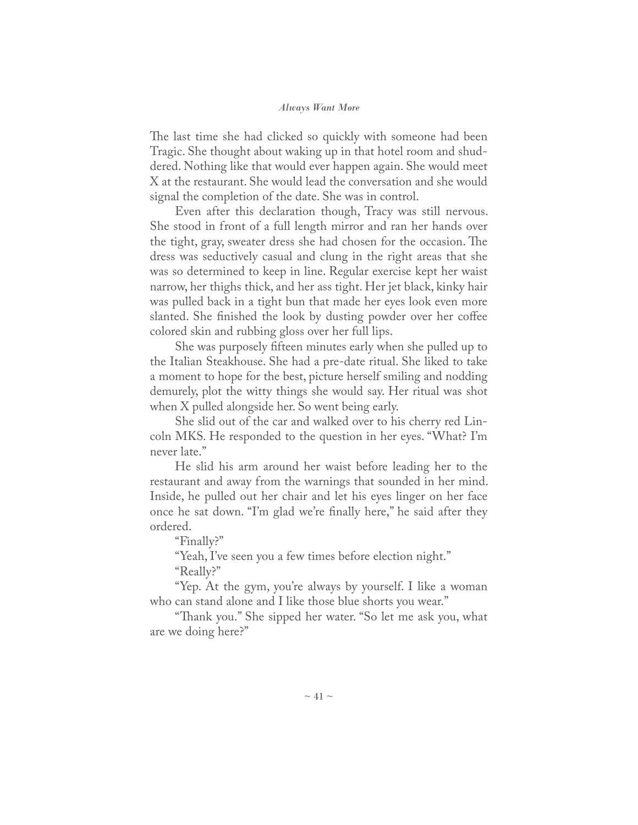The last time she had clicked so quickly with someone had been Tragic. She thought about waking up in that hotel room and shuddered. Nothing like that would ever happen again. She would meet X at the restaurant. She would lead the conversation and she would signal the completion of the date. She was in control.

Even after this declaration though, Tracy was still nervous. She stood in front of a full length mirror and ran her hands over the tight, gray, sweater dress she had chosen for the occasion. The dress was seductively casual and clung in the right areas that she was so determined to keep in line. Regular exercise kept her waist narrow, her thighs thick, and her ass tight. Her jet black, kinky hair was pulled back in a tight bun that made her eyes look even more slanted. She finished the look by dusting powder over her coffee colored skin and rubbing gloss over her full lips.

She was purposely fifteen minutes early when she pulled up to the Italian Steakhouse. She had a pre-date ritual. She liked to take a moment to hope for the best, picture herself smiling and nodding demurely, plot the witty things she would say. Her ritual was shot when X pulled alongside her. So went being early.

She slid out of the car and walked over to his cherry red Lincoln MKS. He responded to the question in her eyes. "What? I'm never late."

He slid his arm around her waist before leading her to the restaurant and away from the warnings that sounded in her mind. Inside, he pulled out her chair and let his eyes linger on her face once he sat down. "I'm glad we're finally here," he said after they ordered.

"Finally?"

"Yeah, I've seen you a few times before election night."

"Really?"

"Yep. At the gym, you're always by yourself. I like a woman who can stand alone and I like those blue shorts you wear."

"Thank you." She sipped her water. "So let me ask you, what are we doing here?"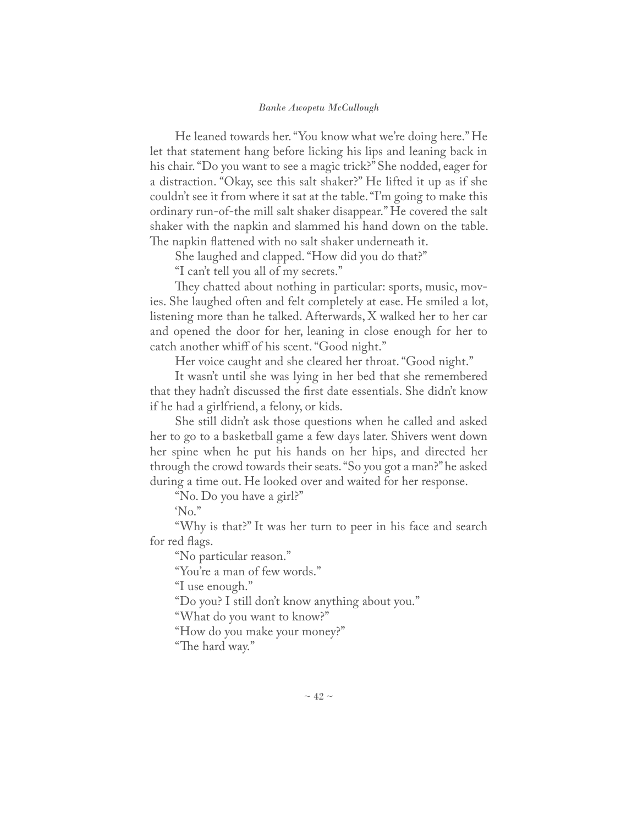He leaned towards her. "You know what we're doing here." He let that statement hang before licking his lips and leaning back in his chair. "Do you want to see a magic trick?" She nodded, eager for a distraction. "Okay, see this salt shaker?" He lifted it up as if she couldn't see it from where it sat at the table. "I'm going to make this ordinary run-of-the mill salt shaker disappear." He covered the salt shaker with the napkin and slammed his hand down on the table. The napkin flattened with no salt shaker underneath it.

She laughed and clapped. "How did you do that?"

"I can't tell you all of my secrets."

They chatted about nothing in particular: sports, music, movies. She laughed often and felt completely at ease. He smiled a lot, listening more than he talked. Afterwards, X walked her to her car and opened the door for her, leaning in close enough for her to catch another whiff of his scent. "Good night."

Her voice caught and she cleared her throat. "Good night."

It wasn't until she was lying in her bed that she remembered that they hadn't discussed the first date essentials. She didn't know if he had a girlfriend, a felony, or kids.

She still didn't ask those questions when he called and asked her to go to a basketball game a few days later. Shivers went down her spine when he put his hands on her hips, and directed her through the crowd towards their seats. "So you got a man?" he asked during a time out. He looked over and waited for her response.

"No. Do you have a girl?"

 $'No.'$ 

"Why is that?" It was her turn to peer in his face and search for red flags.

"No particular reason."

"You're a man of few words."

"I use enough."

"Do you? I still don't know anything about you."

"What do you want to know?"

"How do you make your money?"

"The hard way."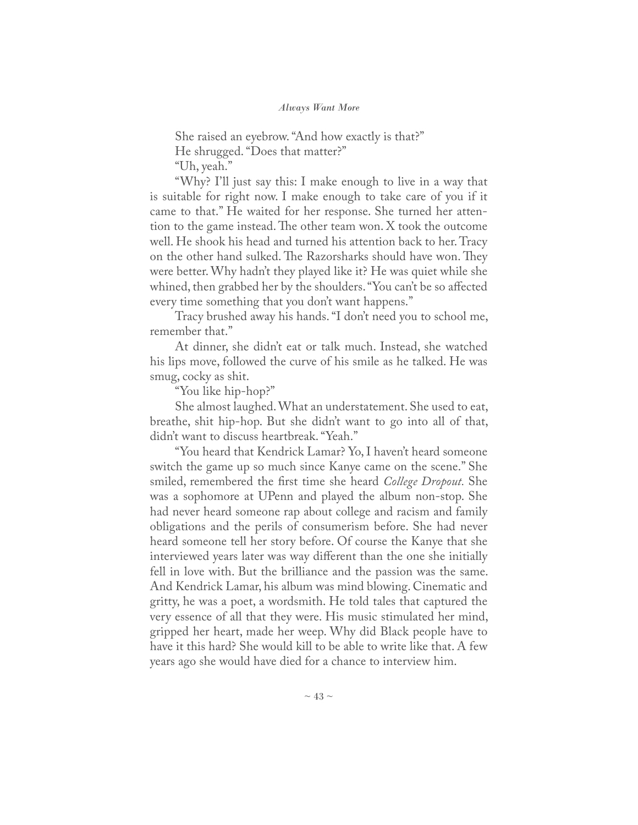She raised an eyebrow. "And how exactly is that?" He shrugged. "Does that matter?" "Uh, yeah."

"Why? I'll just say this: I make enough to live in a way that is suitable for right now. I make enough to take care of you if it came to that." He waited for her response. She turned her attention to the game instead. The other team won.  $X$  took the outcome well. He shook his head and turned his attention back to her. Tracy on the other hand sulked. The Razorsharks should have won. They were better. Why hadn't they played like it? He was quiet while she whined, then grabbed her by the shoulders. "You can't be so affected every time something that you don't want happens."

Tracy brushed away his hands. "I don't need you to school me, remember that."

At dinner, she didn't eat or talk much. Instead, she watched his lips move, followed the curve of his smile as he talked. He was smug, cocky as shit.

"You like hip-hop?"

She almost laughed. What an understatement. She used to eat, breathe, shit hip-hop. But she didn't want to go into all of that, didn't want to discuss heartbreak. "Yeah."

"You heard that Kendrick Lamar? Yo, I haven't heard someone switch the game up so much since Kanye came on the scene." She smiled, remembered the first time she heard *College Dropout*. She was a sophomore at UPenn and played the album non-stop. She had never heard someone rap about college and racism and family obligations and the perils of consumerism before. She had never heard someone tell her story before. Of course the Kanye that she interviewed years later was way different than the one she initially fell in love with. But the brilliance and the passion was the same. And Kendrick Lamar, his album was mind blowing. Cinematic and gritty, he was a poet, a wordsmith. He told tales that captured the very essence of all that they were. His music stimulated her mind, gripped her heart, made her weep. Why did Black people have to have it this hard? She would kill to be able to write like that. A few years ago she would have died for a chance to interview him.